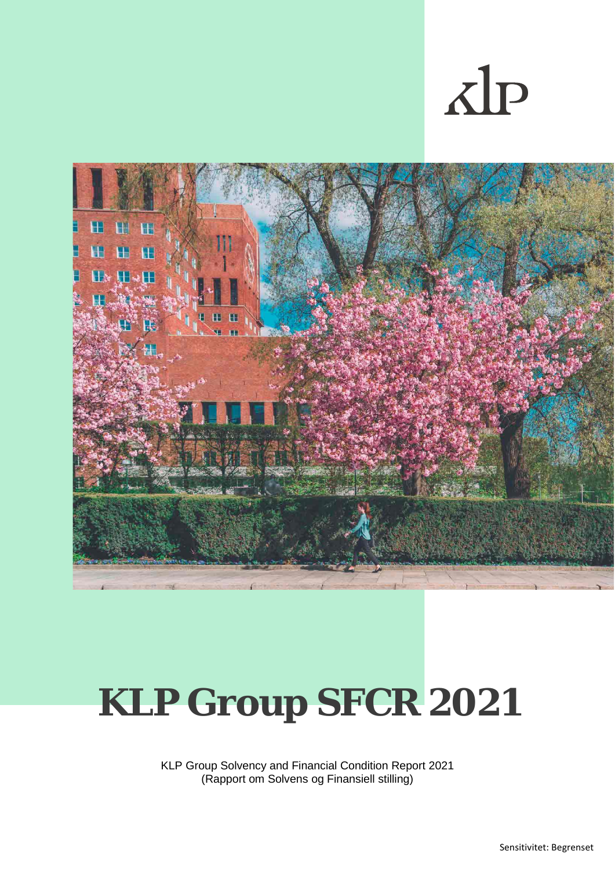# $\Delta$ IP



# **KLP Group SFCR 2021**

KLP Group Solvency and Financial Condition Report 2021 (Rapport om Solvens og Finansiell stilling)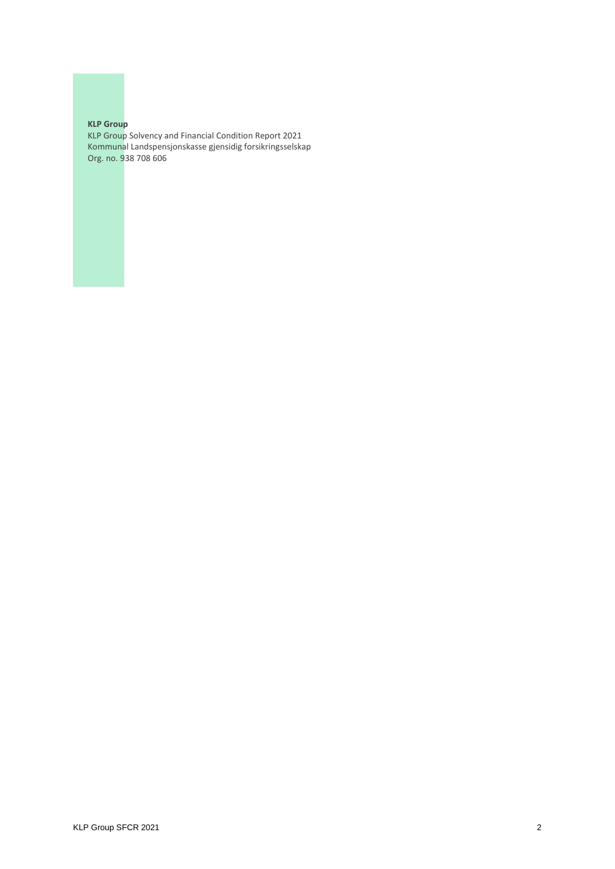#### **KLP Group**

KLP Group Solvency and Financial Condition Report 2021 Kommunal Landspensjonskasse gjensidig forsikringsselskap Org. no. 938 708 606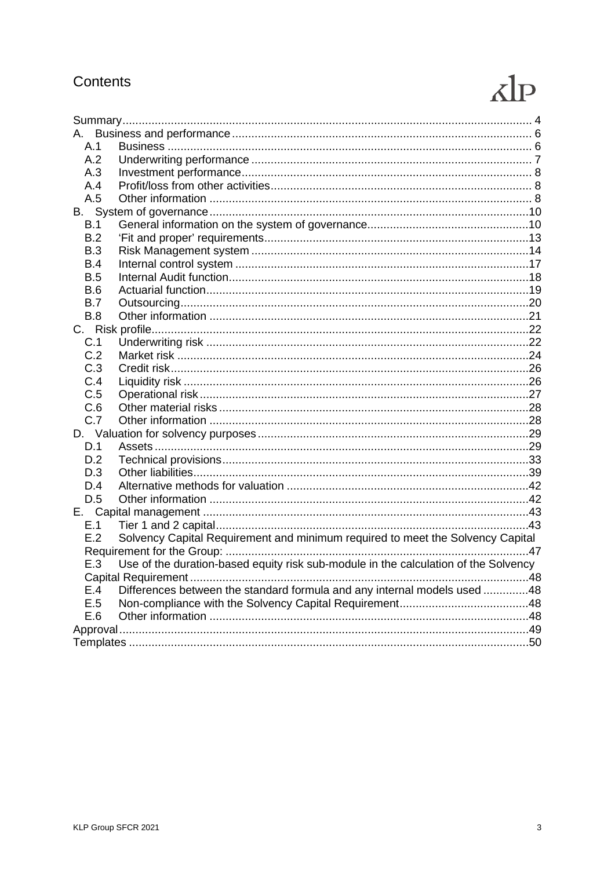# Contents

# $\overline{AP}$

| A.         |                                                                                     |  |
|------------|-------------------------------------------------------------------------------------|--|
| A.1        |                                                                                     |  |
| A.2        |                                                                                     |  |
| A.3        |                                                                                     |  |
| A.4        |                                                                                     |  |
| A.5        |                                                                                     |  |
|            |                                                                                     |  |
| B.1        |                                                                                     |  |
| B.2        |                                                                                     |  |
| B.3        |                                                                                     |  |
| B.4        |                                                                                     |  |
| B.5        |                                                                                     |  |
| <b>B.6</b> |                                                                                     |  |
| B.7        |                                                                                     |  |
| B.8        |                                                                                     |  |
|            |                                                                                     |  |
| C.1        |                                                                                     |  |
| C.2        |                                                                                     |  |
| C.3        |                                                                                     |  |
| C.4        |                                                                                     |  |
| C.5        |                                                                                     |  |
| C.6        |                                                                                     |  |
| C.7        |                                                                                     |  |
|            |                                                                                     |  |
| D.1        |                                                                                     |  |
| D.2        |                                                                                     |  |
| D.3        |                                                                                     |  |
| D.4        |                                                                                     |  |
| D.5        |                                                                                     |  |
|            |                                                                                     |  |
| E.1        |                                                                                     |  |
| E.2        | Solvency Capital Requirement and minimum required to meet the Solvency Capital      |  |
|            |                                                                                     |  |
| E.3        | Use of the duration-based equity risk sub-module in the calculation of the Solvency |  |
|            |                                                                                     |  |
| E.4        | Differences between the standard formula and any internal models used 48            |  |
| E.5        |                                                                                     |  |
| E.6        |                                                                                     |  |
|            |                                                                                     |  |
|            |                                                                                     |  |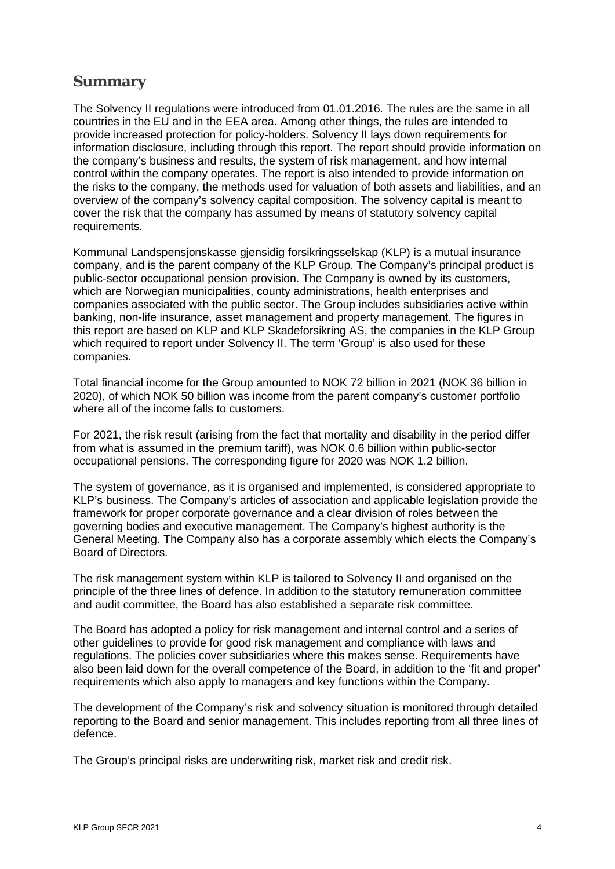# <span id="page-3-0"></span>**Summary**

The Solvency II regulations were introduced from 01.01.2016. The rules are the same in all countries in the EU and in the EEA area. Among other things, the rules are intended to provide increased protection for policy-holders. Solvency II lays down requirements for information disclosure, including through this report. The report should provide information on the company's business and results, the system of risk management, and how internal control within the company operates. The report is also intended to provide information on the risks to the company, the methods used for valuation of both assets and liabilities, and an overview of the company's solvency capital composition. The solvency capital is meant to cover the risk that the company has assumed by means of statutory solvency capital requirements.

Kommunal Landspensjonskasse gjensidig forsikringsselskap (KLP) is a mutual insurance company, and is the parent company of the KLP Group. The Company's principal product is public-sector occupational pension provision. The Company is owned by its customers, which are Norwegian municipalities, county administrations, health enterprises and companies associated with the public sector. The Group includes subsidiaries active within banking, non-life insurance, asset management and property management. The figures in this report are based on KLP and KLP Skadeforsikring AS, the companies in the KLP Group which required to report under Solvency II. The term 'Group' is also used for these companies.

Total financial income for the Group amounted to NOK 72 billion in 2021 (NOK 36 billion in 2020), of which NOK 50 billion was income from the parent company's customer portfolio where all of the income falls to customers.

For 2021, the risk result (arising from the fact that mortality and disability in the period differ from what is assumed in the premium tariff), was NOK 0.6 billion within public-sector occupational pensions. The corresponding figure for 2020 was NOK 1.2 billion.

The system of governance, as it is organised and implemented, is considered appropriate to KLP's business. The Company's articles of association and applicable legislation provide the framework for proper corporate governance and a clear division of roles between the governing bodies and executive management. The Company's highest authority is the General Meeting. The Company also has a corporate assembly which elects the Company's Board of Directors.

The risk management system within KLP is tailored to Solvency II and organised on the principle of the three lines of defence. In addition to the statutory remuneration committee and audit committee, the Board has also established a separate risk committee.

The Board has adopted a policy for risk management and internal control and a series of other guidelines to provide for good risk management and compliance with laws and regulations. The policies cover subsidiaries where this makes sense. Requirements have also been laid down for the overall competence of the Board, in addition to the 'fit and proper' requirements which also apply to managers and key functions within the Company.

The development of the Company's risk and solvency situation is monitored through detailed reporting to the Board and senior management. This includes reporting from all three lines of defence.

The Group's principal risks are underwriting risk, market risk and credit risk.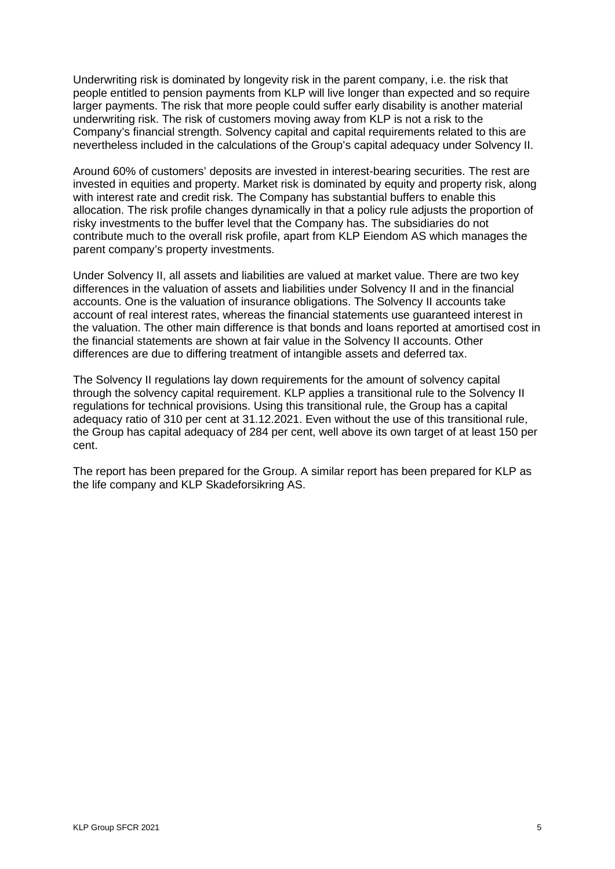Underwriting risk is dominated by longevity risk in the parent company, i.e. the risk that people entitled to pension payments from KLP will live longer than expected and so require larger payments. The risk that more people could suffer early disability is another material underwriting risk. The risk of customers moving away from KLP is not a risk to the Company's financial strength. Solvency capital and capital requirements related to this are nevertheless included in the calculations of the Group's capital adequacy under Solvency II.

Around 60% of customers' deposits are invested in interest-bearing securities. The rest are invested in equities and property. Market risk is dominated by equity and property risk, along with interest rate and credit risk. The Company has substantial buffers to enable this allocation. The risk profile changes dynamically in that a policy rule adjusts the proportion of risky investments to the buffer level that the Company has. The subsidiaries do not contribute much to the overall risk profile, apart from KLP Eiendom AS which manages the parent company's property investments.

Under Solvency II, all assets and liabilities are valued at market value. There are two key differences in the valuation of assets and liabilities under Solvency II and in the financial accounts. One is the valuation of insurance obligations. The Solvency II accounts take account of real interest rates, whereas the financial statements use guaranteed interest in the valuation. The other main difference is that bonds and loans reported at amortised cost in the financial statements are shown at fair value in the Solvency II accounts. Other differences are due to differing treatment of intangible assets and deferred tax.

The Solvency II regulations lay down requirements for the amount of solvency capital through the solvency capital requirement. KLP applies a transitional rule to the Solvency II regulations for technical provisions. Using this transitional rule, the Group has a capital adequacy ratio of 310 per cent at 31.12.2021. Even without the use of this transitional rule, the Group has capital adequacy of 284 per cent, well above its own target of at least 150 per cent.

The report has been prepared for the Group. A similar report has been prepared for KLP as the life company and KLP Skadeforsikring AS.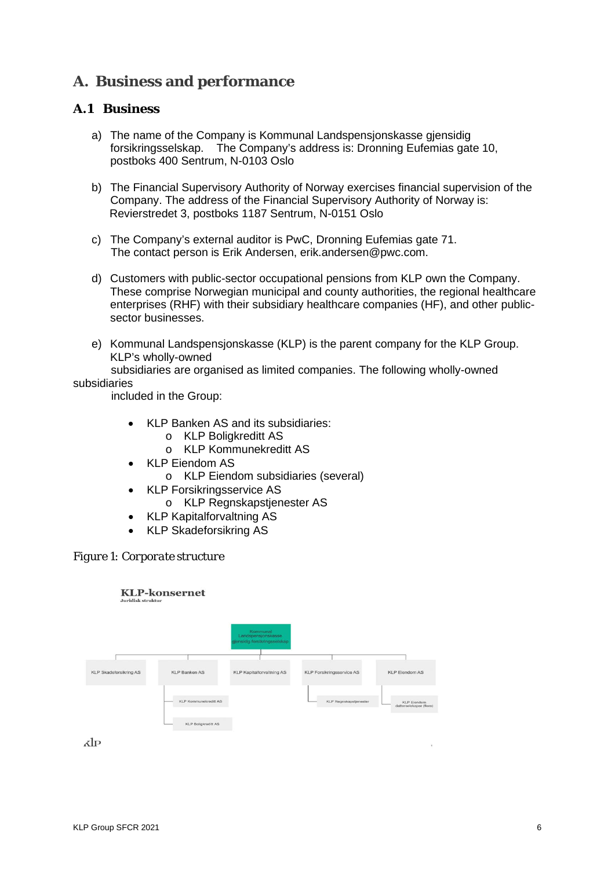# <span id="page-5-0"></span>**A. Business and performance**

# <span id="page-5-1"></span>**A.1 Business**

- a) The name of the Company is Kommunal Landspensjonskasse gjensidig forsikringsselskap. The Company's address is: Dronning Eufemias gate 10, postboks 400 Sentrum, N-0103 Oslo
- b) The Financial Supervisory Authority of Norway exercises financial supervision of the Company. The address of the Financial Supervisory Authority of Norway is: Revierstredet 3, postboks 1187 Sentrum, N-0151 Oslo
- c) The Company's external auditor is PwC, Dronning Eufemias gate 71. The contact person is Erik Andersen, erik.andersen@pwc.com.
- d) Customers with public-sector occupational pensions from KLP own the Company. These comprise Norwegian municipal and county authorities, the regional healthcare enterprises (RHF) with their subsidiary healthcare companies (HF), and other publicsector businesses.
- e) Kommunal Landspensjonskasse (KLP) is the parent company for the KLP Group. KLP's wholly-owned

subsidiaries are organised as limited companies. The following wholly-owned

#### subsidiaries

included in the Group:

- KLP Banken AS and its subsidiaries:
	- o KLP Boligkreditt AS
	- o KLP Kommunekreditt AS
- KLP Eiendom AS
	- o KLP Eiendom subsidiaries (several)
- KLP Forsikringsservice AS
	- o KLP Regnskapstjenester AS
- KLP Kapitalforvaltning AS
- KLP Skadeforsikring AS

#### *Figure 1: Corporate structure*

#### **KLP-konsernet**

|                               |                            | Kommunal<br>Landspensjonskasse<br>gjensidig forsikringsselskap |                           |                                               |
|-------------------------------|----------------------------|----------------------------------------------------------------|---------------------------|-----------------------------------------------|
|                               |                            |                                                                |                           |                                               |
| <b>KLP Skadeforsikring AS</b> | <b>KLP Banken AS</b>       | <b>KLP Kapitalforvaltning AS</b>                               | KLP Forsikringsservice AS | <b>KLP Eiendom AS</b>                         |
|                               | KLP Kommunekreditt AS      |                                                                | KLP Regnskapstjenester    | <b>KLP Eiendom</b><br>datterselskaper (flere) |
|                               | <b>KLP Boligkreditt AS</b> |                                                                |                           |                                               |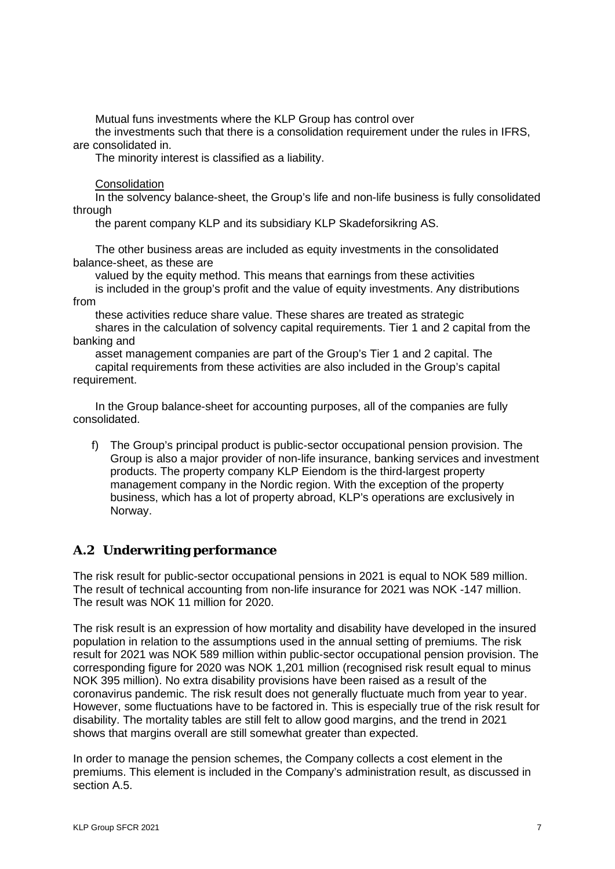Mutual funs investments where the KLP Group has control over

 the investments such that there is a consolidation requirement under the rules in IFRS, are consolidated in.

The minority interest is classified as a liability.

**Consolidation** 

 In the solvency balance-sheet, the Group's life and non-life business is fully consolidated through

the parent company KLP and its subsidiary KLP Skadeforsikring AS.

 The other business areas are included as equity investments in the consolidated balance-sheet, as these are

valued by the equity method. This means that earnings from these activities

 is included in the group's profit and the value of equity investments. Any distributions from

these activities reduce share value. These shares are treated as strategic

 shares in the calculation of solvency capital requirements. Tier 1 and 2 capital from the banking and

 asset management companies are part of the Group's Tier 1 and 2 capital. The capital requirements from these activities are also included in the Group's capital requirement.

 In the Group balance-sheet for accounting purposes, all of the companies are fully consolidated.

f) The Group's principal product is public-sector occupational pension provision. The Group is also a major provider of non-life insurance, banking services and investment products. The property company KLP Eiendom is the third-largest property management company in the Nordic region. With the exception of the property business, which has a lot of property abroad, KLP's operations are exclusively in Norway.

# <span id="page-6-0"></span>**A.2 Underwriting performance**

The risk result for public-sector occupational pensions in 2021 is equal to NOK 589 million. The result of technical accounting from non-life insurance for 2021 was NOK -147 million. The result was NOK 11 million for 2020.

The risk result is an expression of how mortality and disability have developed in the insured population in relation to the assumptions used in the annual setting of premiums. The risk result for 2021 was NOK 589 million within public-sector occupational pension provision. The corresponding figure for 2020 was NOK 1,201 million (recognised risk result equal to minus NOK 395 million). No extra disability provisions have been raised as a result of the coronavirus pandemic. The risk result does not generally fluctuate much from year to year. However, some fluctuations have to be factored in. This is especially true of the risk result for disability. The mortality tables are still felt to allow good margins, and the trend in 2021 shows that margins overall are still somewhat greater than expected.

In order to manage the pension schemes, the Company collects a cost element in the premiums. This element is included in the Company's administration result, as discussed in section A.5.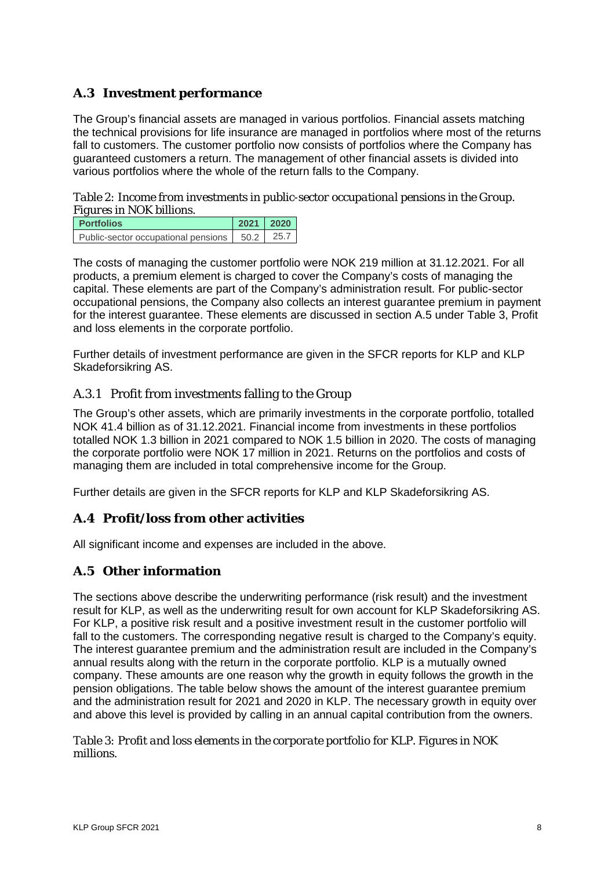# <span id="page-7-0"></span>**A.3 Investment performance**

The Group's financial assets are managed in various portfolios. Financial assets matching the technical provisions for life insurance are managed in portfolios where most of the returns fall to customers. The customer portfolio now consists of portfolios where the Company has guaranteed customers a return. The management of other financial assets is divided into various portfolios where the whole of the return falls to the Company.

*Table 2: Income from investments in public-sector occupational pensions in the Group. Figures in NOK billions.*

| <b>Portfolios</b>                                 | $2021$ 2020 |  |
|---------------------------------------------------|-------------|--|
| Public-sector occupational pensions   50.2   25.7 |             |  |

The costs of managing the customer portfolio were NOK 219 million at 31.12.2021. For all products, a premium element is charged to cover the Company's costs of managing the capital. These elements are part of the Company's administration result. For public-sector occupational pensions, the Company also collects an interest guarantee premium in payment for the interest guarantee. These elements are discussed in section A.5 under Table 3, Profit and loss elements in the corporate portfolio.

Further details of investment performance are given in the SFCR reports for KLP and KLP Skadeforsikring AS.

# A.3.1 Profit from investments falling to the Group

The Group's other assets, which are primarily investments in the corporate portfolio, totalled NOK 41.4 billion as of 31.12.2021. Financial income from investments in these portfolios totalled NOK 1.3 billion in 2021 compared to NOK 1.5 billion in 2020. The costs of managing the corporate portfolio were NOK 17 million in 2021. Returns on the portfolios and costs of managing them are included in total comprehensive income for the Group.

Further details are given in the SFCR reports for KLP and KLP Skadeforsikring AS.

# <span id="page-7-1"></span>**A.4 Profit/loss from other activities**

All significant income and expenses are included in the above.

# <span id="page-7-2"></span>**A.5 Other information**

The sections above describe the underwriting performance (risk result) and the investment result for KLP, as well as the underwriting result for own account for KLP Skadeforsikring AS. For KLP, a positive risk result and a positive investment result in the customer portfolio will fall to the customers. The corresponding negative result is charged to the Company's equity. The interest guarantee premium and the administration result are included in the Company's annual results along with the return in the corporate portfolio. KLP is a mutually owned company. These amounts are one reason why the growth in equity follows the growth in the pension obligations. The table below shows the amount of the interest guarantee premium and the administration result for 2021 and 2020 in KLP. The necessary growth in equity over and above this level is provided by calling in an annual capital contribution from the owners.

#### *Table 3: Profit and loss elements in the corporate portfolio for KLP. Figures in NOK millions.*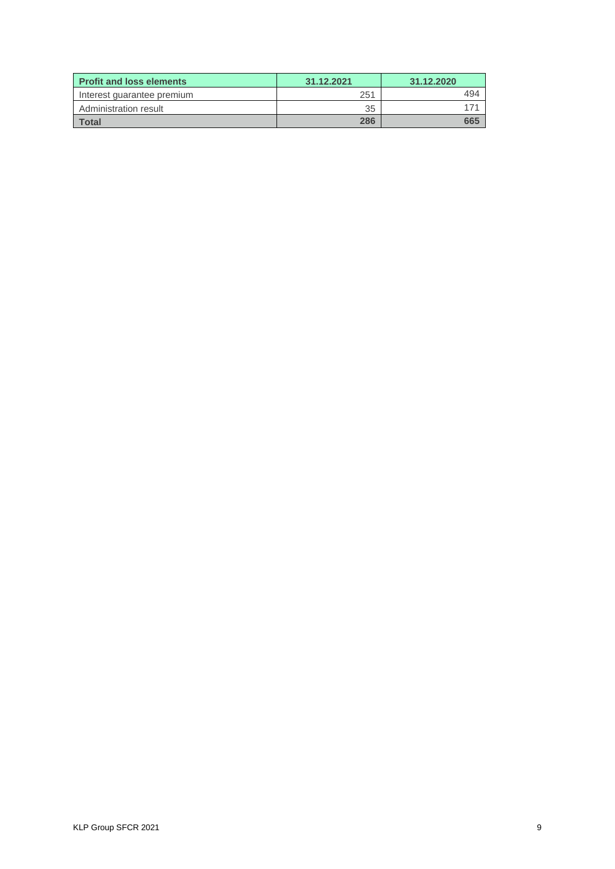| <b>Profit and loss elements</b> | 31.12.2021 | 31.12.2020 |  |
|---------------------------------|------------|------------|--|
| Interest quarantee premium      | 251        | 494        |  |
| Administration result           | 35         |            |  |
| Total                           | 286        | 665        |  |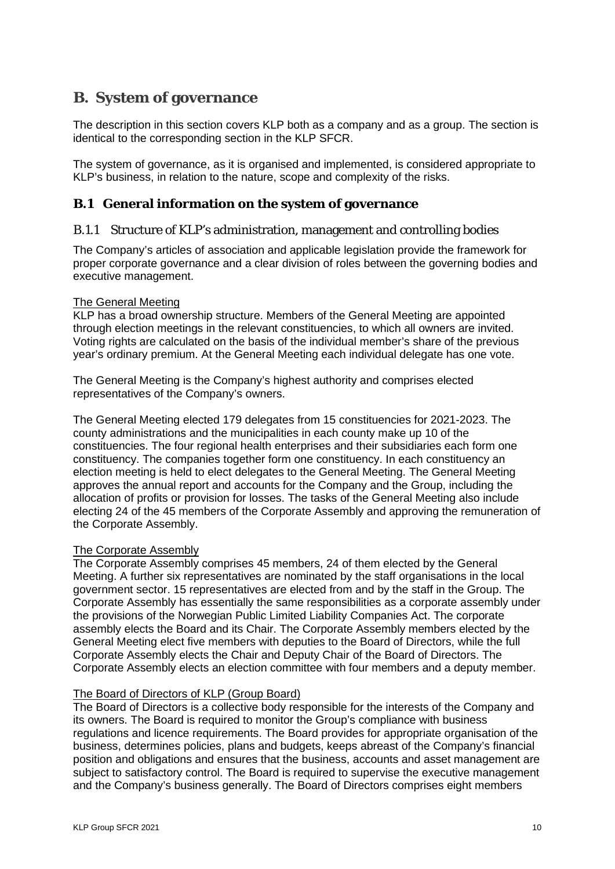# <span id="page-9-0"></span>**B. System of governance**

The description in this section covers KLP both as a company and as a group. The section is identical to the corresponding section in the KLP SFCR.

The system of governance, as it is organised and implemented, is considered appropriate to KLP's business, in relation to the nature, scope and complexity of the risks.

#### <span id="page-9-1"></span>**B.1 General information on the system of governance**

#### B.1.1 Structure of KLP's administration, management and controlling bodies

The Company's articles of association and applicable legislation provide the framework for proper corporate governance and a clear division of roles between the governing bodies and executive management.

#### The General Meeting

KLP has a broad ownership structure. Members of the General Meeting are appointed through election meetings in the relevant constituencies, to which all owners are invited. Voting rights are calculated on the basis of the individual member's share of the previous year's ordinary premium. At the General Meeting each individual delegate has one vote.

The General Meeting is the Company's highest authority and comprises elected representatives of the Company's owners.

The General Meeting elected 179 delegates from 15 constituencies for 2021-2023. The county administrations and the municipalities in each county make up 10 of the constituencies. The four regional health enterprises and their subsidiaries each form one constituency. The companies together form one constituency. In each constituency an election meeting is held to elect delegates to the General Meeting. The General Meeting approves the annual report and accounts for the Company and the Group, including the allocation of profits or provision for losses. The tasks of the General Meeting also include electing 24 of the 45 members of the Corporate Assembly and approving the remuneration of the Corporate Assembly.

#### The Corporate Assembly

The Corporate Assembly comprises 45 members, 24 of them elected by the General Meeting. A further six representatives are nominated by the staff organisations in the local government sector. 15 representatives are elected from and by the staff in the Group. The Corporate Assembly has essentially the same responsibilities as a corporate assembly under the provisions of the Norwegian Public Limited Liability Companies Act. The corporate assembly elects the Board and its Chair. The Corporate Assembly members elected by the General Meeting elect five members with deputies to the Board of Directors, while the full Corporate Assembly elects the Chair and Deputy Chair of the Board of Directors. The Corporate Assembly elects an election committee with four members and a deputy member.

#### The Board of Directors of KLP (Group Board)

The Board of Directors is a collective body responsible for the interests of the Company and its owners. The Board is required to monitor the Group's compliance with business regulations and licence requirements. The Board provides for appropriate organisation of the business, determines policies, plans and budgets, keeps abreast of the Company's financial position and obligations and ensures that the business, accounts and asset management are subject to satisfactory control. The Board is required to supervise the executive management and the Company's business generally. The Board of Directors comprises eight members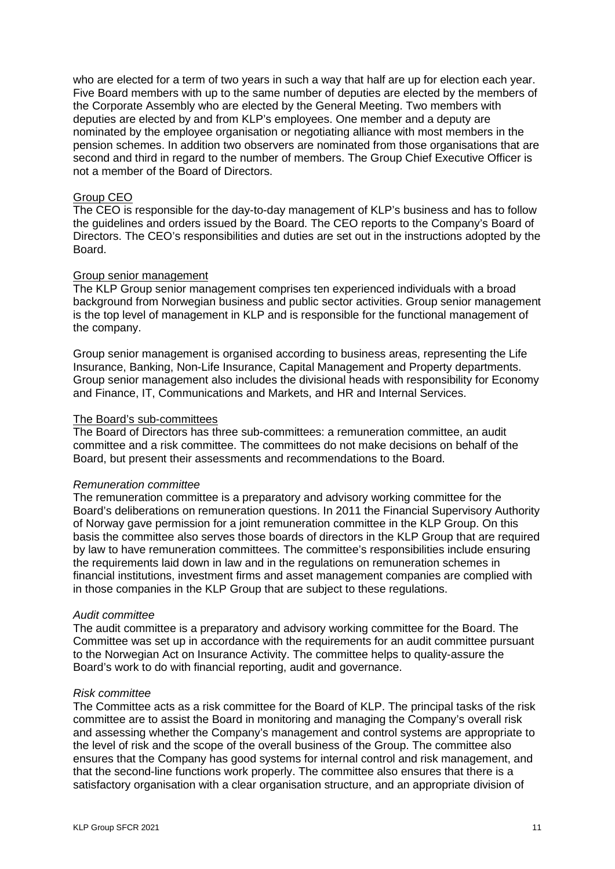who are elected for a term of two years in such a way that half are up for election each year. Five Board members with up to the same number of deputies are elected by the members of the Corporate Assembly who are elected by the General Meeting. Two members with deputies are elected by and from KLP's employees. One member and a deputy are nominated by the employee organisation or negotiating alliance with most members in the pension schemes. In addition two observers are nominated from those organisations that are second and third in regard to the number of members. The Group Chief Executive Officer is not a member of the Board of Directors.

#### Group CEO

The CEO is responsible for the day-to-day management of KLP's business and has to follow the guidelines and orders issued by the Board. The CEO reports to the Company's Board of Directors. The CEO's responsibilities and duties are set out in the instructions adopted by the Board.

#### Group senior management

The KLP Group senior management comprises ten experienced individuals with a broad background from Norwegian business and public sector activities. Group senior management is the top level of management in KLP and is responsible for the functional management of the company.

Group senior management is organised according to business areas, representing the Life Insurance, Banking, Non-Life Insurance, Capital Management and Property departments. Group senior management also includes the divisional heads with responsibility for Economy and Finance, IT, Communications and Markets, and HR and Internal Services.

#### The Board's sub-committees

The Board of Directors has three sub-committees: a remuneration committee, an audit committee and a risk committee. The committees do not make decisions on behalf of the Board, but present their assessments and recommendations to the Board.

#### *Remuneration committee*

The remuneration committee is a preparatory and advisory working committee for the Board's deliberations on remuneration questions. In 2011 the Financial Supervisory Authority of Norway gave permission for a joint remuneration committee in the KLP Group. On this basis the committee also serves those boards of directors in the KLP Group that are required by law to have remuneration committees. The committee's responsibilities include ensuring the requirements laid down in law and in the regulations on remuneration schemes in financial institutions, investment firms and asset management companies are complied with in those companies in the KLP Group that are subject to these regulations.

#### *Audit committee*

The audit committee is a preparatory and advisory working committee for the Board. The Committee was set up in accordance with the requirements for an audit committee pursuant to the Norwegian Act on Insurance Activity. The committee helps to quality-assure the Board's work to do with financial reporting, audit and governance.

#### *Risk committee*

The Committee acts as a risk committee for the Board of KLP. The principal tasks of the risk committee are to assist the Board in monitoring and managing the Company's overall risk and assessing whether the Company's management and control systems are appropriate to the level of risk and the scope of the overall business of the Group. The committee also ensures that the Company has good systems for internal control and risk management, and that the second-line functions work properly. The committee also ensures that there is a satisfactory organisation with a clear organisation structure, and an appropriate division of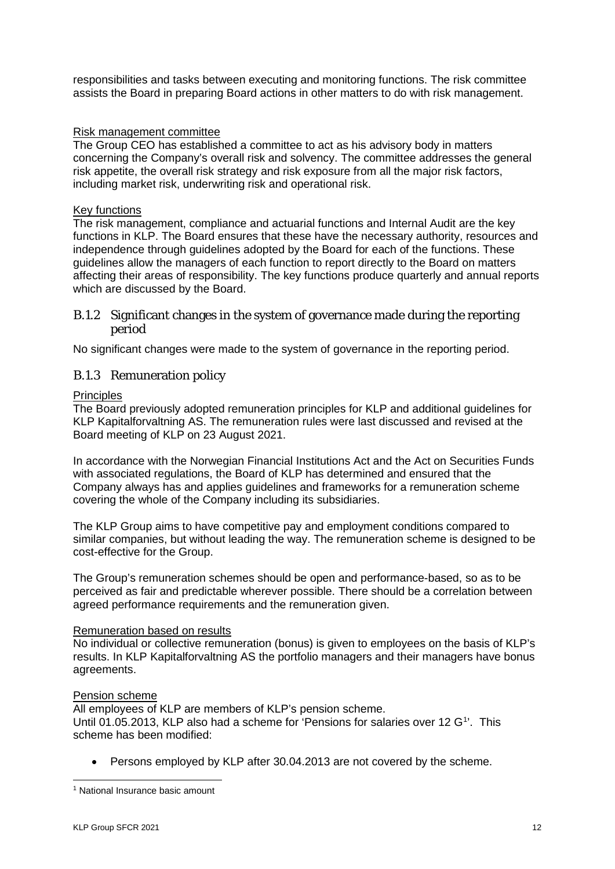responsibilities and tasks between executing and monitoring functions. The risk committee assists the Board in preparing Board actions in other matters to do with risk management.

#### Risk management committee

The Group CEO has established a committee to act as his advisory body in matters concerning the Company's overall risk and solvency. The committee addresses the general risk appetite, the overall risk strategy and risk exposure from all the major risk factors, including market risk, underwriting risk and operational risk.

#### Key functions

The risk management, compliance and actuarial functions and Internal Audit are the key functions in KLP. The Board ensures that these have the necessary authority, resources and independence through guidelines adopted by the Board for each of the functions. These guidelines allow the managers of each function to report directly to the Board on matters affecting their areas of responsibility. The key functions produce quarterly and annual reports which are discussed by the Board.

#### B.1.2 Significant changes in the system of governance made during the reporting period

No significant changes were made to the system of governance in the reporting period.

#### B.1.3 Remuneration policy

**Principles** 

The Board previously adopted remuneration principles for KLP and additional guidelines for KLP Kapitalforvaltning AS. The remuneration rules were last discussed and revised at the Board meeting of KLP on 23 August 2021.

In accordance with the Norwegian Financial Institutions Act and the Act on Securities Funds with associated regulations, the Board of KLP has determined and ensured that the Company always has and applies guidelines and frameworks for a remuneration scheme covering the whole of the Company including its subsidiaries.

The KLP Group aims to have competitive pay and employment conditions compared to similar companies, but without leading the way. The remuneration scheme is designed to be cost-effective for the Group.

The Group's remuneration schemes should be open and performance-based, so as to be perceived as fair and predictable wherever possible. There should be a correlation between agreed performance requirements and the remuneration given.

#### Remuneration based on results

No individual or collective remuneration (bonus) is given to employees on the basis of KLP's results. In KLP Kapitalforvaltning AS the portfolio managers and their managers have bonus agreements.

#### Pension scheme

All employees of KLP are members of KLP's pension scheme. Until 0[1](#page-11-0).05.2013, KLP also had a scheme for 'Pensions for salaries over 12 G<sup>1</sup>'. This scheme has been modified:

• Persons employed by KLP after 30.04.2013 are not covered by the scheme.

<span id="page-11-0"></span><sup>&</sup>lt;sup>1</sup> National Insurance basic amount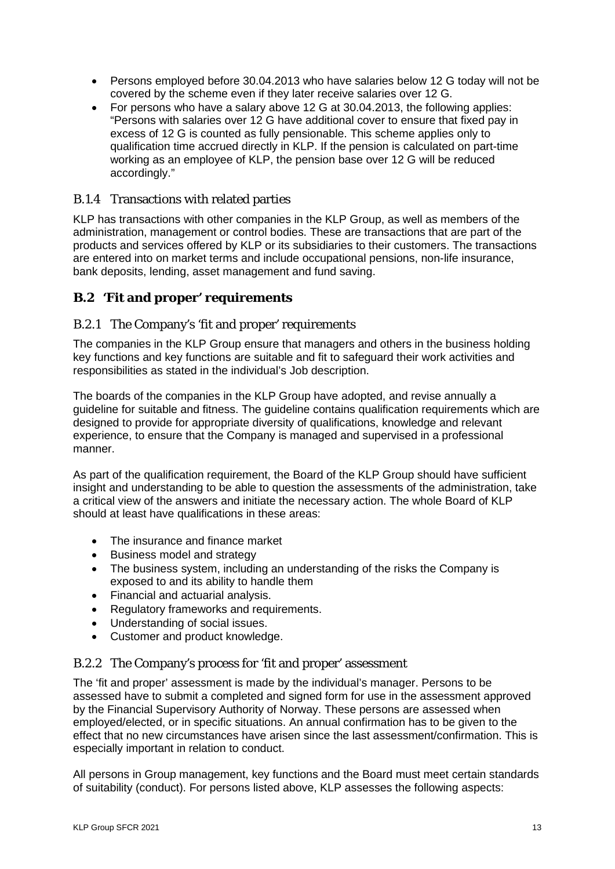- Persons employed before 30.04.2013 who have salaries below 12 G today will not be covered by the scheme even if they later receive salaries over 12 G.
- For persons who have a salary above 12 G at 30.04.2013, the following applies: "Persons with salaries over 12 G have additional cover to ensure that fixed pay in excess of 12 G is counted as fully pensionable. This scheme applies only to qualification time accrued directly in KLP. If the pension is calculated on part-time working as an employee of KLP, the pension base over 12 G will be reduced accordingly."

#### B.1.4 Transactions with related parties

KLP has transactions with other companies in the KLP Group, as well as members of the administration, management or control bodies. These are transactions that are part of the products and services offered by KLP or its subsidiaries to their customers. The transactions are entered into on market terms and include occupational pensions, non-life insurance, bank deposits, lending, asset management and fund saving.

# <span id="page-12-0"></span>**B.2 'Fit and proper' requirements**

#### B.2.1 The Company's 'fit and proper' requirements

The companies in the KLP Group ensure that managers and others in the business holding key functions and key functions are suitable and fit to safeguard their work activities and responsibilities as stated in the individual's Job description.

The boards of the companies in the KLP Group have adopted, and revise annually a guideline for suitable and fitness. The guideline contains qualification requirements which are designed to provide for appropriate diversity of qualifications, knowledge and relevant experience, to ensure that the Company is managed and supervised in a professional manner.

As part of the qualification requirement, the Board of the KLP Group should have sufficient insight and understanding to be able to question the assessments of the administration, take a critical view of the answers and initiate the necessary action. The whole Board of KLP should at least have qualifications in these areas:

- The insurance and finance market
- Business model and strategy
- The business system, including an understanding of the risks the Company is exposed to and its ability to handle them
- Financial and actuarial analysis.
- Regulatory frameworks and requirements.
- Understanding of social issues.
- Customer and product knowledge.

#### B.2.2 The Company's process for 'fit and proper' assessment

The 'fit and proper' assessment is made by the individual's manager. Persons to be assessed have to submit a completed and signed form for use in the assessment approved by the Financial Supervisory Authority of Norway. These persons are assessed when employed/elected, or in specific situations. An annual confirmation has to be given to the effect that no new circumstances have arisen since the last assessment/confirmation. This is especially important in relation to conduct.

All persons in Group management, key functions and the Board must meet certain standards of suitability (conduct). For persons listed above, KLP assesses the following aspects: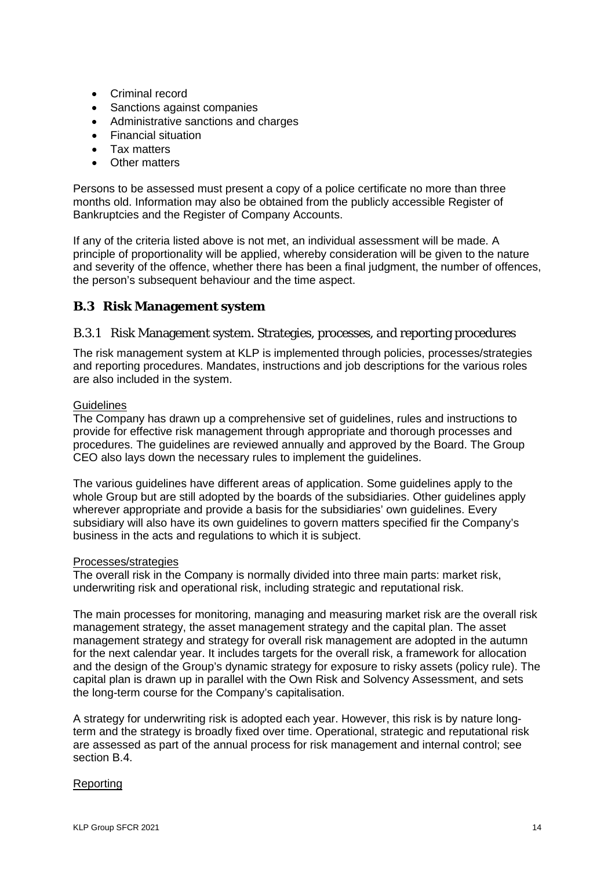- Criminal record
- Sanctions against companies
- Administrative sanctions and charges
- Financial situation
- Tax matters
- Other matters

Persons to be assessed must present a copy of a police certificate no more than three months old. Information may also be obtained from the publicly accessible Register of Bankruptcies and the Register of Company Accounts.

If any of the criteria listed above is not met, an individual assessment will be made. A principle of proportionality will be applied, whereby consideration will be given to the nature and severity of the offence, whether there has been a final judgment, the number of offences, the person's subsequent behaviour and the time aspect.

# <span id="page-13-0"></span>**B.3 Risk Management system**

#### B.3.1 Risk Management system. Strategies, processes, and reporting procedures

The risk management system at KLP is implemented through policies, processes/strategies and reporting procedures. Mandates, instructions and job descriptions for the various roles are also included in the system.

#### **Guidelines**

The Company has drawn up a comprehensive set of guidelines, rules and instructions to provide for effective risk management through appropriate and thorough processes and procedures. The guidelines are reviewed annually and approved by the Board. The Group CEO also lays down the necessary rules to implement the guidelines.

The various guidelines have different areas of application. Some guidelines apply to the whole Group but are still adopted by the boards of the subsidiaries. Other guidelines apply wherever appropriate and provide a basis for the subsidiaries' own guidelines. Every subsidiary will also have its own guidelines to govern matters specified fir the Company's business in the acts and regulations to which it is subject.

#### Processes/strategies

The overall risk in the Company is normally divided into three main parts: market risk, underwriting risk and operational risk, including strategic and reputational risk.

The main processes for monitoring, managing and measuring market risk are the overall risk management strategy, the asset management strategy and the capital plan. The asset management strategy and strategy for overall risk management are adopted in the autumn for the next calendar year. It includes targets for the overall risk, a framework for allocation and the design of the Group's dynamic strategy for exposure to risky assets (policy rule). The capital plan is drawn up in parallel with the Own Risk and Solvency Assessment, and sets the long-term course for the Company's capitalisation.

A strategy for underwriting risk is adopted each year. However, this risk is by nature longterm and the strategy is broadly fixed over time. Operational, strategic and reputational risk are assessed as part of the annual process for risk management and internal control; see section B.4.

#### Reporting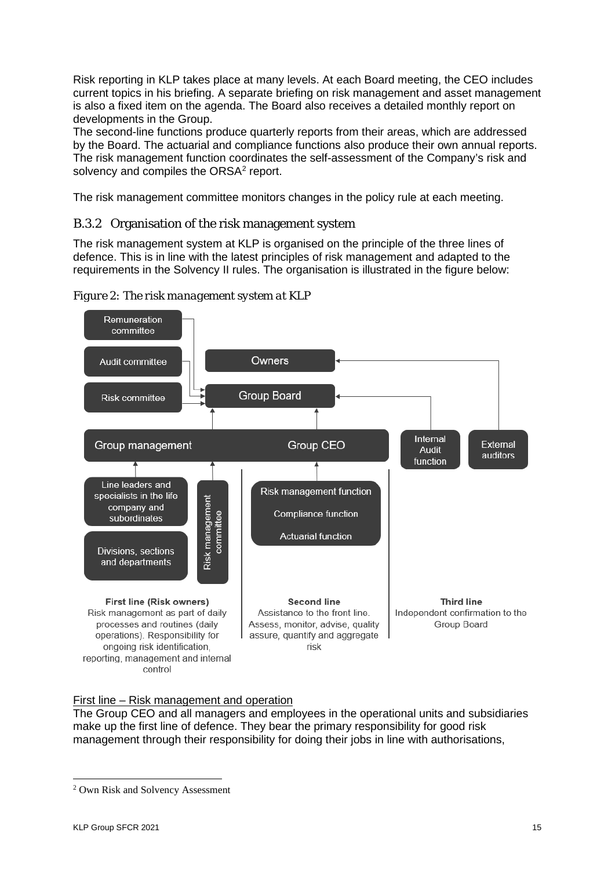Risk reporting in KLP takes place at many levels. At each Board meeting, the CEO includes current topics in his briefing. A separate briefing on risk management and asset management is also a fixed item on the agenda. The Board also receives a detailed monthly report on developments in the Group.

The second-line functions produce quarterly reports from their areas, which are addressed by the Board. The actuarial and compliance functions also produce their own annual reports. The risk management function coordinates the self-assessment of the Company's risk and solvency and compiles the ORSA<sup>2</sup> report.

The risk management committee monitors changes in the policy rule at each meeting.

# B.3.2 Organisation of the risk management system

The risk management system at KLP is organised on the principle of the three lines of defence. This is in line with the latest principles of risk management and adapted to the requirements in the Solvency II rules. The organisation is illustrated in the figure below:



*Figure 2: The risk management system at KLP*

#### First line – Risk management and operation

The Group CEO and all managers and employees in the operational units and subsidiaries make up the first line of defence. They bear the primary responsibility for good risk management through their responsibility for doing their jobs in line with authorisations,

<span id="page-14-0"></span><sup>2</sup> Own Risk and Solvency Assessment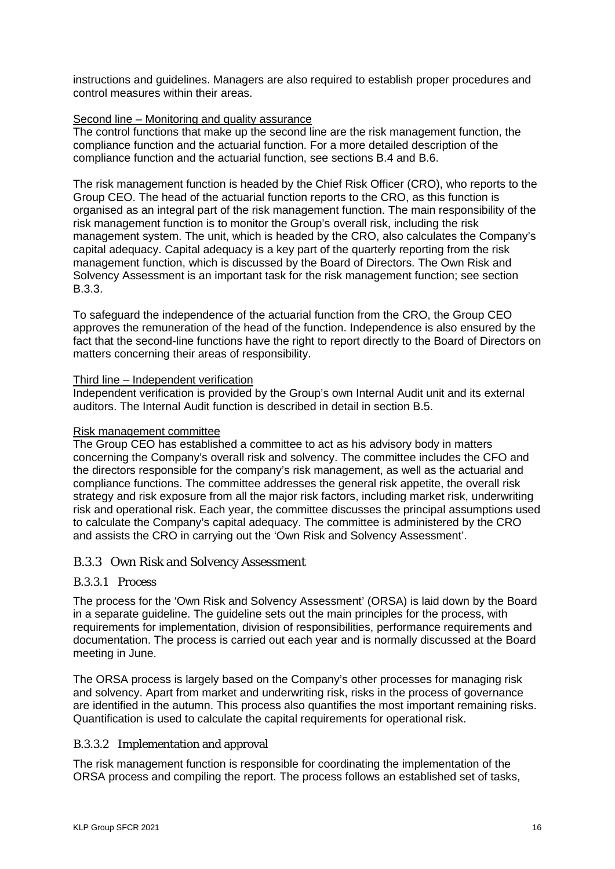instructions and guidelines. Managers are also required to establish proper procedures and control measures within their areas.

#### Second line – Monitoring and quality assurance

The control functions that make up the second line are the risk management function, the compliance function and the actuarial function. For a more detailed description of the compliance function and the actuarial function, see sections B.4 and B.6.

The risk management function is headed by the Chief Risk Officer (CRO), who reports to the Group CEO. The head of the actuarial function reports to the CRO, as this function is organised as an integral part of the risk management function. The main responsibility of the risk management function is to monitor the Group's overall risk, including the risk management system. The unit, which is headed by the CRO, also calculates the Company's capital adequacy. Capital adequacy is a key part of the quarterly reporting from the risk management function, which is discussed by the Board of Directors. The Own Risk and Solvency Assessment is an important task for the risk management function; see section B.3.3.

To safeguard the independence of the actuarial function from the CRO, the Group CEO approves the remuneration of the head of the function. Independence is also ensured by the fact that the second-line functions have the right to report directly to the Board of Directors on matters concerning their areas of responsibility.

#### Third line – Independent verification

Independent verification is provided by the Group's own Internal Audit unit and its external auditors. The Internal Audit function is described in detail in section B.5.

#### Risk management committee

The Group CEO has established a committee to act as his advisory body in matters concerning the Company's overall risk and solvency. The committee includes the CFO and the directors responsible for the company's risk management, as well as the actuarial and compliance functions. The committee addresses the general risk appetite, the overall risk strategy and risk exposure from all the major risk factors, including market risk, underwriting risk and operational risk. Each year, the committee discusses the principal assumptions used to calculate the Company's capital adequacy. The committee is administered by the CRO and assists the CRO in carrying out the 'Own Risk and Solvency Assessment'.

#### B.3.3 Own Risk and Solvency Assessment

#### B.3.3.1 Process

The process for the 'Own Risk and Solvency Assessment' (ORSA) is laid down by the Board in a separate guideline. The guideline sets out the main principles for the process, with requirements for implementation, division of responsibilities, performance requirements and documentation. The process is carried out each year and is normally discussed at the Board meeting in June.

The ORSA process is largely based on the Company's other processes for managing risk and solvency. Apart from market and underwriting risk, risks in the process of governance are identified in the autumn. This process also quantifies the most important remaining risks. Quantification is used to calculate the capital requirements for operational risk.

#### B.3.3.2 Implementation and approval

The risk management function is responsible for coordinating the implementation of the ORSA process and compiling the report. The process follows an established set of tasks,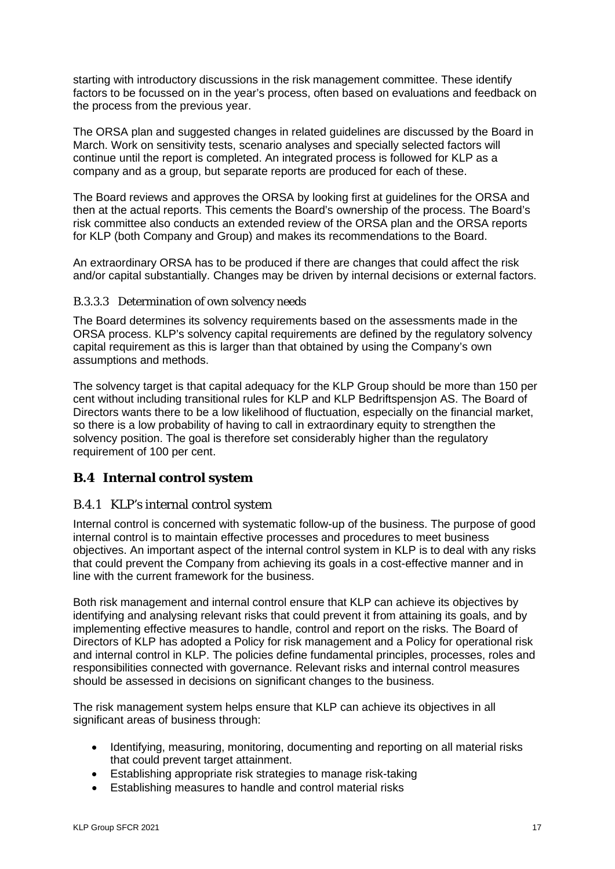starting with introductory discussions in the risk management committee. These identify factors to be focussed on in the year's process, often based on evaluations and feedback on the process from the previous year.

The ORSA plan and suggested changes in related guidelines are discussed by the Board in March. Work on sensitivity tests, scenario analyses and specially selected factors will continue until the report is completed. An integrated process is followed for KLP as a company and as a group, but separate reports are produced for each of these.

The Board reviews and approves the ORSA by looking first at guidelines for the ORSA and then at the actual reports. This cements the Board's ownership of the process. The Board's risk committee also conducts an extended review of the ORSA plan and the ORSA reports for KLP (both Company and Group) and makes its recommendations to the Board.

An extraordinary ORSA has to be produced if there are changes that could affect the risk and/or capital substantially. Changes may be driven by internal decisions or external factors.

#### B.3.3.3 Determination of own solvency needs

The Board determines its solvency requirements based on the assessments made in the ORSA process. KLP's solvency capital requirements are defined by the regulatory solvency capital requirement as this is larger than that obtained by using the Company's own assumptions and methods.

The solvency target is that capital adequacy for the KLP Group should be more than 150 per cent without including transitional rules for KLP and KLP Bedriftspensjon AS. The Board of Directors wants there to be a low likelihood of fluctuation, especially on the financial market, so there is a low probability of having to call in extraordinary equity to strengthen the solvency position. The goal is therefore set considerably higher than the regulatory requirement of 100 per cent.

#### <span id="page-16-0"></span>**B.4 Internal control system**

#### B.4.1 KLP's internal control system

Internal control is concerned with systematic follow-up of the business. The purpose of good internal control is to maintain effective processes and procedures to meet business objectives. An important aspect of the internal control system in KLP is to deal with any risks that could prevent the Company from achieving its goals in a cost-effective manner and in line with the current framework for the business.

Both risk management and internal control ensure that KLP can achieve its objectives by identifying and analysing relevant risks that could prevent it from attaining its goals, and by implementing effective measures to handle, control and report on the risks. The Board of Directors of KLP has adopted a Policy for risk management and a Policy for operational risk and internal control in KLP. The policies define fundamental principles, processes, roles and responsibilities connected with governance. Relevant risks and internal control measures should be assessed in decisions on significant changes to the business.

The risk management system helps ensure that KLP can achieve its objectives in all significant areas of business through:

- Identifying, measuring, monitoring, documenting and reporting on all material risks that could prevent target attainment.
- Establishing appropriate risk strategies to manage risk-taking
- Establishing measures to handle and control material risks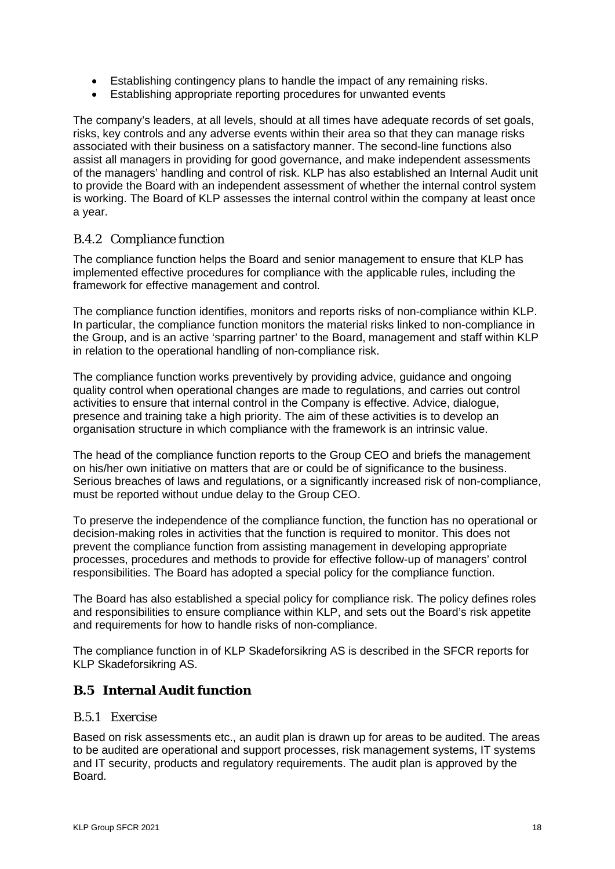- Establishing contingency plans to handle the impact of any remaining risks.
- Establishing appropriate reporting procedures for unwanted events

The company's leaders, at all levels, should at all times have adequate records of set goals, risks, key controls and any adverse events within their area so that they can manage risks associated with their business on a satisfactory manner. The second-line functions also assist all managers in providing for good governance, and make independent assessments of the managers' handling and control of risk. KLP has also established an Internal Audit unit to provide the Board with an independent assessment of whether the internal control system is working. The Board of KLP assesses the internal control within the company at least once a year.

#### B.4.2 Compliance function

The compliance function helps the Board and senior management to ensure that KLP has implemented effective procedures for compliance with the applicable rules, including the framework for effective management and control.

The compliance function identifies, monitors and reports risks of non-compliance within KLP. In particular, the compliance function monitors the material risks linked to non-compliance in the Group, and is an active 'sparring partner' to the Board, management and staff within KLP in relation to the operational handling of non-compliance risk.

The compliance function works preventively by providing advice, guidance and ongoing quality control when operational changes are made to regulations, and carries out control activities to ensure that internal control in the Company is effective. Advice, dialogue, presence and training take a high priority. The aim of these activities is to develop an organisation structure in which compliance with the framework is an intrinsic value.

The head of the compliance function reports to the Group CEO and briefs the management on his/her own initiative on matters that are or could be of significance to the business. Serious breaches of laws and regulations, or a significantly increased risk of non-compliance, must be reported without undue delay to the Group CEO.

To preserve the independence of the compliance function, the function has no operational or decision-making roles in activities that the function is required to monitor. This does not prevent the compliance function from assisting management in developing appropriate processes, procedures and methods to provide for effective follow-up of managers' control responsibilities. The Board has adopted a special policy for the compliance function.

The Board has also established a special policy for compliance risk. The policy defines roles and responsibilities to ensure compliance within KLP, and sets out the Board's risk appetite and requirements for how to handle risks of non-compliance.

The compliance function in of KLP Skadeforsikring AS is described in the SFCR reports for KLP Skadeforsikring AS.

#### <span id="page-17-0"></span>**B.5 Internal Audit function**

#### B.5.1 Exercise

Based on risk assessments etc., an audit plan is drawn up for areas to be audited. The areas to be audited are operational and support processes, risk management systems, IT systems and IT security, products and regulatory requirements. The audit plan is approved by the Board.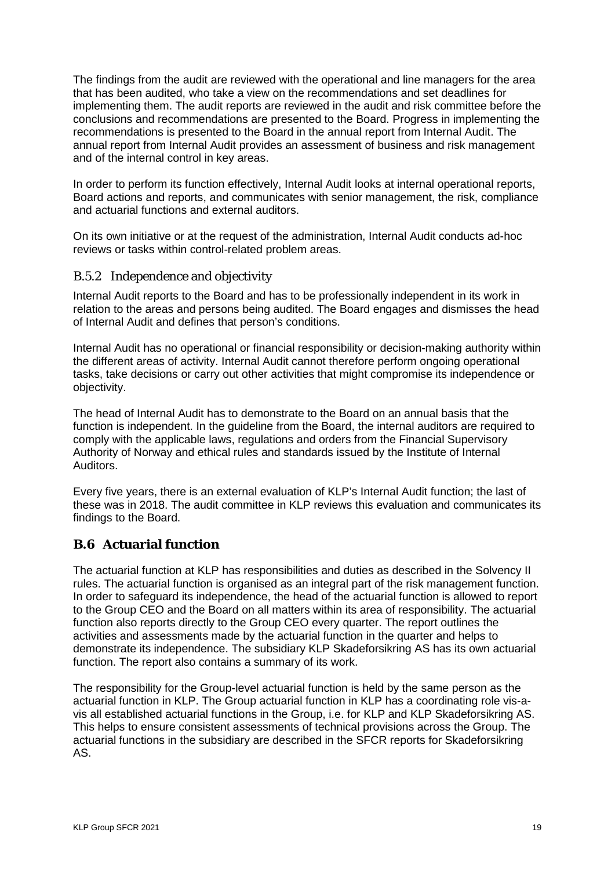The findings from the audit are reviewed with the operational and line managers for the area that has been audited, who take a view on the recommendations and set deadlines for implementing them. The audit reports are reviewed in the audit and risk committee before the conclusions and recommendations are presented to the Board. Progress in implementing the recommendations is presented to the Board in the annual report from Internal Audit. The annual report from Internal Audit provides an assessment of business and risk management and of the internal control in key areas.

In order to perform its function effectively, Internal Audit looks at internal operational reports, Board actions and reports, and communicates with senior management, the risk, compliance and actuarial functions and external auditors.

On its own initiative or at the request of the administration, Internal Audit conducts ad-hoc reviews or tasks within control-related problem areas.

#### B.5.2 Independence and objectivity

Internal Audit reports to the Board and has to be professionally independent in its work in relation to the areas and persons being audited. The Board engages and dismisses the head of Internal Audit and defines that person's conditions.

Internal Audit has no operational or financial responsibility or decision-making authority within the different areas of activity. Internal Audit cannot therefore perform ongoing operational tasks, take decisions or carry out other activities that might compromise its independence or objectivity.

The head of Internal Audit has to demonstrate to the Board on an annual basis that the function is independent. In the guideline from the Board, the internal auditors are required to comply with the applicable laws, regulations and orders from the Financial Supervisory Authority of Norway and ethical rules and standards issued by the Institute of Internal Auditors.

Every five years, there is an external evaluation of KLP's Internal Audit function; the last of these was in 2018. The audit committee in KLP reviews this evaluation and communicates its findings to the Board.

#### <span id="page-18-0"></span>**B.6 Actuarial function**

The actuarial function at KLP has responsibilities and duties as described in the Solvency II rules. The actuarial function is organised as an integral part of the risk management function. In order to safeguard its independence, the head of the actuarial function is allowed to report to the Group CEO and the Board on all matters within its area of responsibility. The actuarial function also reports directly to the Group CEO every quarter. The report outlines the activities and assessments made by the actuarial function in the quarter and helps to demonstrate its independence. The subsidiary KLP Skadeforsikring AS has its own actuarial function. The report also contains a summary of its work.

The responsibility for the Group-level actuarial function is held by the same person as the actuarial function in KLP. The Group actuarial function in KLP has a coordinating role vis-avis all established actuarial functions in the Group, i.e. for KLP and KLP Skadeforsikring AS. This helps to ensure consistent assessments of technical provisions across the Group. The actuarial functions in the subsidiary are described in the SFCR reports for Skadeforsikring AS.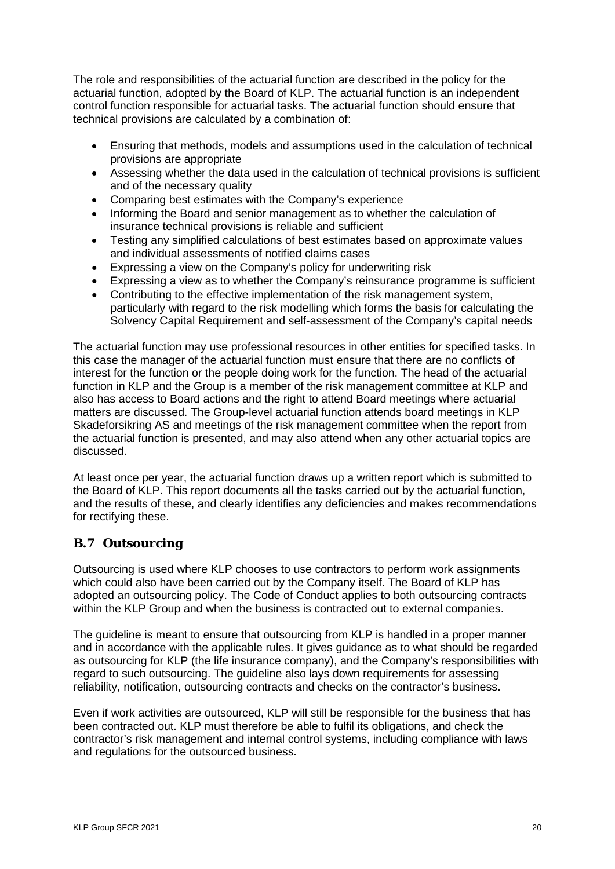The role and responsibilities of the actuarial function are described in the policy for the actuarial function, adopted by the Board of KLP. The actuarial function is an independent control function responsible for actuarial tasks. The actuarial function should ensure that technical provisions are calculated by a combination of:

- Ensuring that methods, models and assumptions used in the calculation of technical provisions are appropriate
- Assessing whether the data used in the calculation of technical provisions is sufficient and of the necessary quality
- Comparing best estimates with the Company's experience
- Informing the Board and senior management as to whether the calculation of insurance technical provisions is reliable and sufficient
- Testing any simplified calculations of best estimates based on approximate values and individual assessments of notified claims cases
- Expressing a view on the Company's policy for underwriting risk
- Expressing a view as to whether the Company's reinsurance programme is sufficient
- Contributing to the effective implementation of the risk management system, particularly with regard to the risk modelling which forms the basis for calculating the Solvency Capital Requirement and self-assessment of the Company's capital needs

The actuarial function may use professional resources in other entities for specified tasks. In this case the manager of the actuarial function must ensure that there are no conflicts of interest for the function or the people doing work for the function. The head of the actuarial function in KLP and the Group is a member of the risk management committee at KLP and also has access to Board actions and the right to attend Board meetings where actuarial matters are discussed. The Group-level actuarial function attends board meetings in KLP Skadeforsikring AS and meetings of the risk management committee when the report from the actuarial function is presented, and may also attend when any other actuarial topics are discussed.

At least once per year, the actuarial function draws up a written report which is submitted to the Board of KLP. This report documents all the tasks carried out by the actuarial function, and the results of these, and clearly identifies any deficiencies and makes recommendations for rectifying these.

# <span id="page-19-0"></span>**B.7 Outsourcing**

Outsourcing is used where KLP chooses to use contractors to perform work assignments which could also have been carried out by the Company itself. The Board of KLP has adopted an outsourcing policy. The Code of Conduct applies to both outsourcing contracts within the KLP Group and when the business is contracted out to external companies.

The guideline is meant to ensure that outsourcing from KLP is handled in a proper manner and in accordance with the applicable rules. It gives guidance as to what should be regarded as outsourcing for KLP (the life insurance company), and the Company's responsibilities with regard to such outsourcing. The guideline also lays down requirements for assessing reliability, notification, outsourcing contracts and checks on the contractor's business.

Even if work activities are outsourced, KLP will still be responsible for the business that has been contracted out. KLP must therefore be able to fulfil its obligations, and check the contractor's risk management and internal control systems, including compliance with laws and regulations for the outsourced business.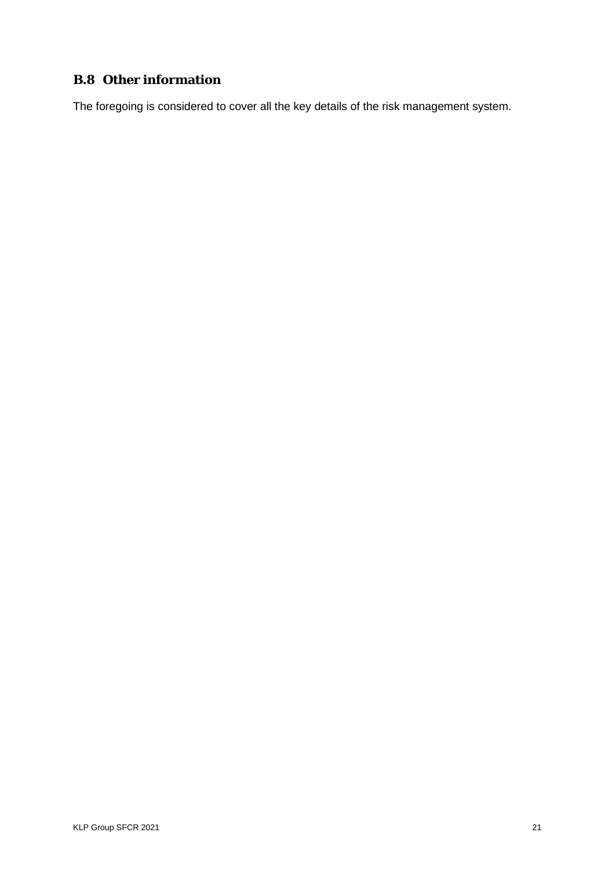# <span id="page-20-0"></span>**B.8 Other information**

The foregoing is considered to cover all the key details of the risk management system.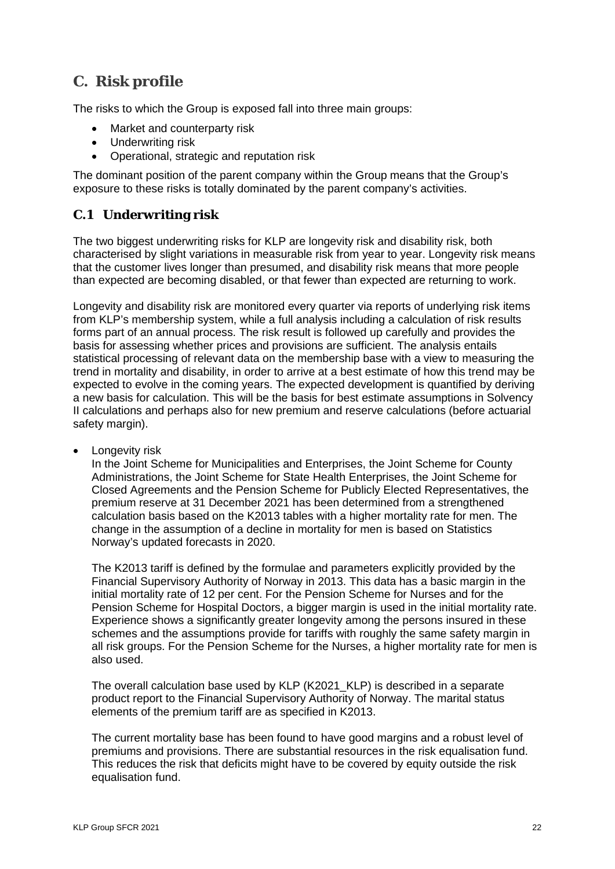# <span id="page-21-0"></span>**C. Risk profile**

The risks to which the Group is exposed fall into three main groups:

- Market and counterparty risk
- Underwriting risk
- Operational, strategic and reputation risk

The dominant position of the parent company within the Group means that the Group's exposure to these risks is totally dominated by the parent company's activities.

# <span id="page-21-1"></span>**C.1 Underwriting risk**

The two biggest underwriting risks for KLP are longevity risk and disability risk, both characterised by slight variations in measurable risk from year to year. Longevity risk means that the customer lives longer than presumed, and disability risk means that more people than expected are becoming disabled, or that fewer than expected are returning to work.

Longevity and disability risk are monitored every quarter via reports of underlying risk items from KLP's membership system, while a full analysis including a calculation of risk results forms part of an annual process. The risk result is followed up carefully and provides the basis for assessing whether prices and provisions are sufficient. The analysis entails statistical processing of relevant data on the membership base with a view to measuring the trend in mortality and disability, in order to arrive at a best estimate of how this trend may be expected to evolve in the coming years. The expected development is quantified by deriving a new basis for calculation. This will be the basis for best estimate assumptions in Solvency II calculations and perhaps also for new premium and reserve calculations (before actuarial safety margin).

Longevity risk

In the Joint Scheme for Municipalities and Enterprises, the Joint Scheme for County Administrations, the Joint Scheme for State Health Enterprises, the Joint Scheme for Closed Agreements and the Pension Scheme for Publicly Elected Representatives, the premium reserve at 31 December 2021 has been determined from a strengthened calculation basis based on the K2013 tables with a higher mortality rate for men. The change in the assumption of a decline in mortality for men is based on Statistics Norway's updated forecasts in 2020.

The K2013 tariff is defined by the formulae and parameters explicitly provided by the Financial Supervisory Authority of Norway in 2013. This data has a basic margin in the initial mortality rate of 12 per cent. For the Pension Scheme for Nurses and for the Pension Scheme for Hospital Doctors, a bigger margin is used in the initial mortality rate. Experience shows a significantly greater longevity among the persons insured in these schemes and the assumptions provide for tariffs with roughly the same safety margin in all risk groups. For the Pension Scheme for the Nurses, a higher mortality rate for men is also used.

The overall calculation base used by KLP (K2021\_KLP) is described in a separate product report to the Financial Supervisory Authority of Norway. The marital status elements of the premium tariff are as specified in K2013.

The current mortality base has been found to have good margins and a robust level of premiums and provisions. There are substantial resources in the risk equalisation fund. This reduces the risk that deficits might have to be covered by equity outside the risk equalisation fund.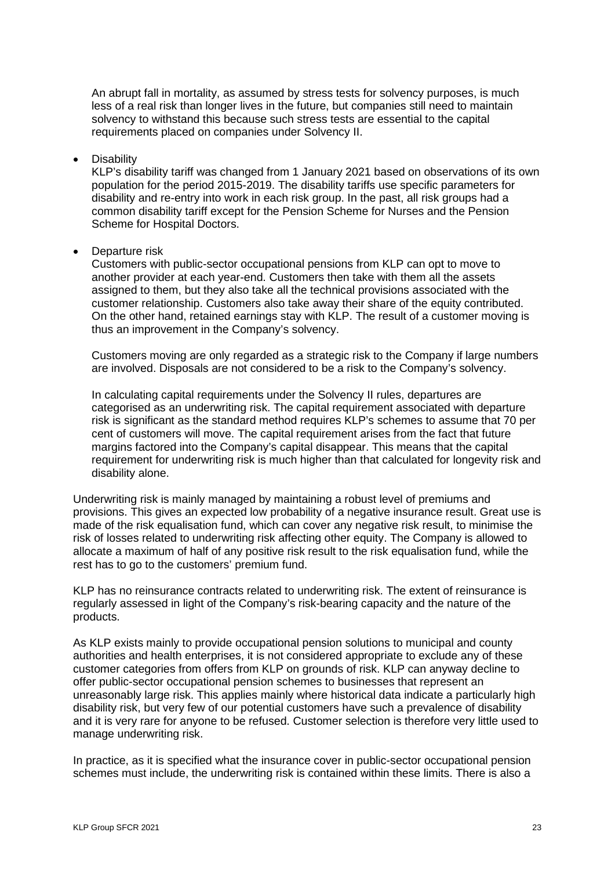An abrupt fall in mortality, as assumed by stress tests for solvency purposes, is much less of a real risk than longer lives in the future, but companies still need to maintain solvency to withstand this because such stress tests are essential to the capital requirements placed on companies under Solvency II.

**Disability** 

KLP's disability tariff was changed from 1 January 2021 based on observations of its own population for the period 2015-2019. The disability tariffs use specific parameters for disability and re-entry into work in each risk group. In the past, all risk groups had a common disability tariff except for the Pension Scheme for Nurses and the Pension Scheme for Hospital Doctors.

• Departure risk

Customers with public-sector occupational pensions from KLP can opt to move to another provider at each year-end. Customers then take with them all the assets assigned to them, but they also take all the technical provisions associated with the customer relationship. Customers also take away their share of the equity contributed. On the other hand, retained earnings stay with KLP. The result of a customer moving is thus an improvement in the Company's solvency.

Customers moving are only regarded as a strategic risk to the Company if large numbers are involved. Disposals are not considered to be a risk to the Company's solvency.

In calculating capital requirements under the Solvency II rules, departures are categorised as an underwriting risk. The capital requirement associated with departure risk is significant as the standard method requires KLP's schemes to assume that 70 per cent of customers will move. The capital requirement arises from the fact that future margins factored into the Company's capital disappear. This means that the capital requirement for underwriting risk is much higher than that calculated for longevity risk and disability alone.

Underwriting risk is mainly managed by maintaining a robust level of premiums and provisions. This gives an expected low probability of a negative insurance result. Great use is made of the risk equalisation fund, which can cover any negative risk result, to minimise the risk of losses related to underwriting risk affecting other equity. The Company is allowed to allocate a maximum of half of any positive risk result to the risk equalisation fund, while the rest has to go to the customers' premium fund.

KLP has no reinsurance contracts related to underwriting risk. The extent of reinsurance is regularly assessed in light of the Company's risk-bearing capacity and the nature of the products.

As KLP exists mainly to provide occupational pension solutions to municipal and county authorities and health enterprises, it is not considered appropriate to exclude any of these customer categories from offers from KLP on grounds of risk. KLP can anyway decline to offer public-sector occupational pension schemes to businesses that represent an unreasonably large risk. This applies mainly where historical data indicate a particularly high disability risk, but very few of our potential customers have such a prevalence of disability and it is very rare for anyone to be refused. Customer selection is therefore very little used to manage underwriting risk.

In practice, as it is specified what the insurance cover in public-sector occupational pension schemes must include, the underwriting risk is contained within these limits. There is also a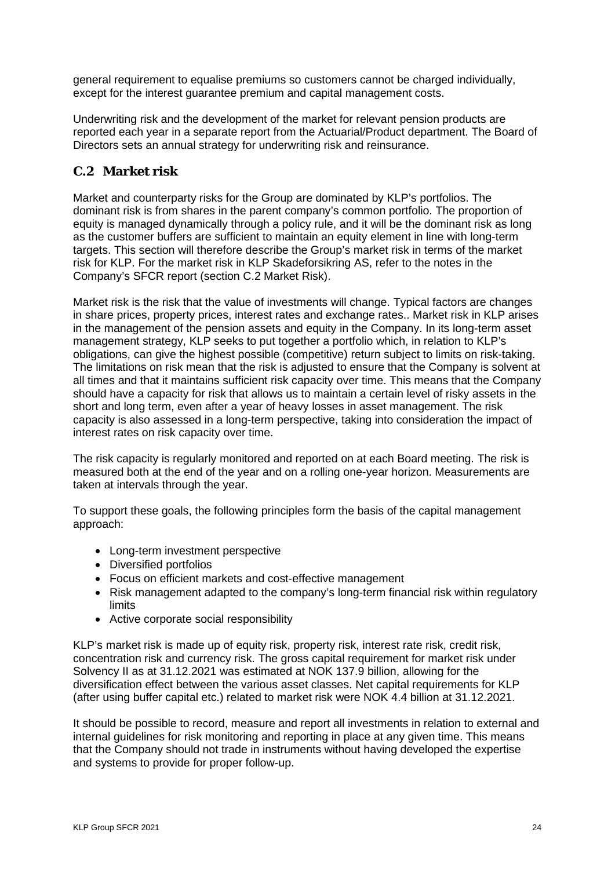general requirement to equalise premiums so customers cannot be charged individually, except for the interest guarantee premium and capital management costs.

Underwriting risk and the development of the market for relevant pension products are reported each year in a separate report from the Actuarial/Product department. The Board of Directors sets an annual strategy for underwriting risk and reinsurance.

# <span id="page-23-0"></span>**C.2 Market risk**

Market and counterparty risks for the Group are dominated by KLP's portfolios. The dominant risk is from shares in the parent company's common portfolio. The proportion of equity is managed dynamically through a policy rule, and it will be the dominant risk as long as the customer buffers are sufficient to maintain an equity element in line with long-term targets. This section will therefore describe the Group's market risk in terms of the market risk for KLP. For the market risk in KLP Skadeforsikring AS, refer to the notes in the Company's SFCR report (section C.2 Market Risk).

Market risk is the risk that the value of investments will change. Typical factors are changes in share prices, property prices, interest rates and exchange rates.. Market risk in KLP arises in the management of the pension assets and equity in the Company. In its long-term asset management strategy, KLP seeks to put together a portfolio which, in relation to KLP's obligations, can give the highest possible (competitive) return subject to limits on risk-taking. The limitations on risk mean that the risk is adjusted to ensure that the Company is solvent at all times and that it maintains sufficient risk capacity over time. This means that the Company should have a capacity for risk that allows us to maintain a certain level of risky assets in the short and long term, even after a year of heavy losses in asset management. The risk capacity is also assessed in a long-term perspective, taking into consideration the impact of interest rates on risk capacity over time.

The risk capacity is regularly monitored and reported on at each Board meeting. The risk is measured both at the end of the year and on a rolling one-year horizon. Measurements are taken at intervals through the year.

To support these goals, the following principles form the basis of the capital management approach:

- Long-term investment perspective
- Diversified portfolios
- Focus on efficient markets and cost-effective management
- Risk management adapted to the company's long-term financial risk within regulatory limits
- Active corporate social responsibility

KLP's market risk is made up of equity risk, property risk, interest rate risk, credit risk, concentration risk and currency risk. The gross capital requirement for market risk under Solvency II as at 31.12.2021 was estimated at NOK 137.9 billion, allowing for the diversification effect between the various asset classes. Net capital requirements for KLP (after using buffer capital etc.) related to market risk were NOK 4.4 billion at 31.12.2021.

It should be possible to record, measure and report all investments in relation to external and internal guidelines for risk monitoring and reporting in place at any given time. This means that the Company should not trade in instruments without having developed the expertise and systems to provide for proper follow-up.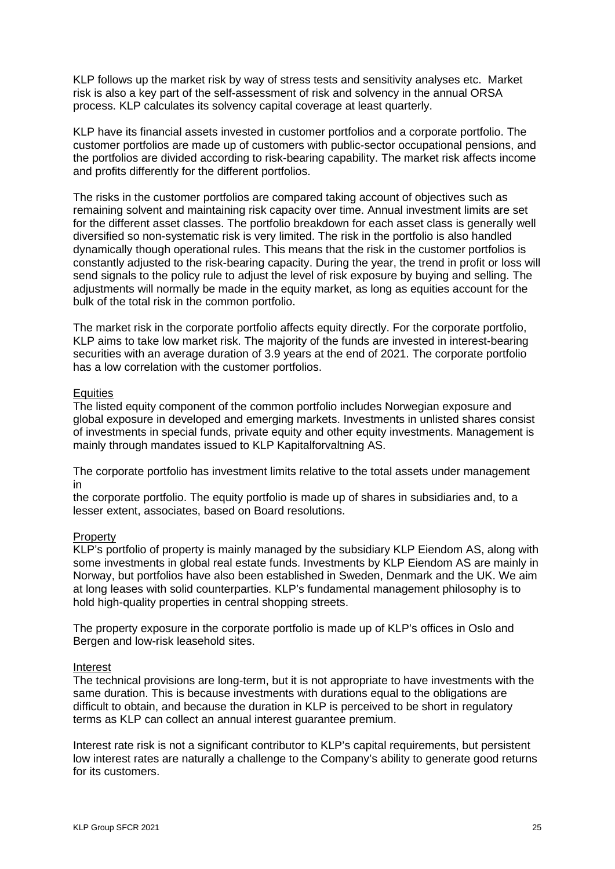KLP follows up the market risk by way of stress tests and sensitivity analyses etc. Market risk is also a key part of the self-assessment of risk and solvency in the annual ORSA process. KLP calculates its solvency capital coverage at least quarterly.

KLP have its financial assets invested in customer portfolios and a corporate portfolio. The customer portfolios are made up of customers with public-sector occupational pensions, and the portfolios are divided according to risk-bearing capability. The market risk affects income and profits differently for the different portfolios.

The risks in the customer portfolios are compared taking account of objectives such as remaining solvent and maintaining risk capacity over time. Annual investment limits are set for the different asset classes. The portfolio breakdown for each asset class is generally well diversified so non-systematic risk is very limited. The risk in the portfolio is also handled dynamically though operational rules. This means that the risk in the customer portfolios is constantly adjusted to the risk-bearing capacity. During the year, the trend in profit or loss will send signals to the policy rule to adjust the level of risk exposure by buying and selling. The adjustments will normally be made in the equity market, as long as equities account for the bulk of the total risk in the common portfolio.

The market risk in the corporate portfolio affects equity directly. For the corporate portfolio, KLP aims to take low market risk. The majority of the funds are invested in interest-bearing securities with an average duration of 3.9 years at the end of 2021. The corporate portfolio has a low correlation with the customer portfolios.

#### **Equities**

The listed equity component of the common portfolio includes Norwegian exposure and global exposure in developed and emerging markets. Investments in unlisted shares consist of investments in special funds, private equity and other equity investments. Management is mainly through mandates issued to KLP Kapitalforvaltning AS.

The corporate portfolio has investment limits relative to the total assets under management in

the corporate portfolio. The equity portfolio is made up of shares in subsidiaries and, to a lesser extent, associates, based on Board resolutions.

#### Property

KLP's portfolio of property is mainly managed by the subsidiary KLP Eiendom AS, along with some investments in global real estate funds. Investments by KLP Eiendom AS are mainly in Norway, but portfolios have also been established in Sweden, Denmark and the UK. We aim at long leases with solid counterparties. KLP's fundamental management philosophy is to hold high-quality properties in central shopping streets.

The property exposure in the corporate portfolio is made up of KLP's offices in Oslo and Bergen and low-risk leasehold sites.

#### Interest

The technical provisions are long-term, but it is not appropriate to have investments with the same duration. This is because investments with durations equal to the obligations are difficult to obtain, and because the duration in KLP is perceived to be short in regulatory terms as KLP can collect an annual interest guarantee premium.

Interest rate risk is not a significant contributor to KLP's capital requirements, but persistent low interest rates are naturally a challenge to the Company's ability to generate good returns for its customers.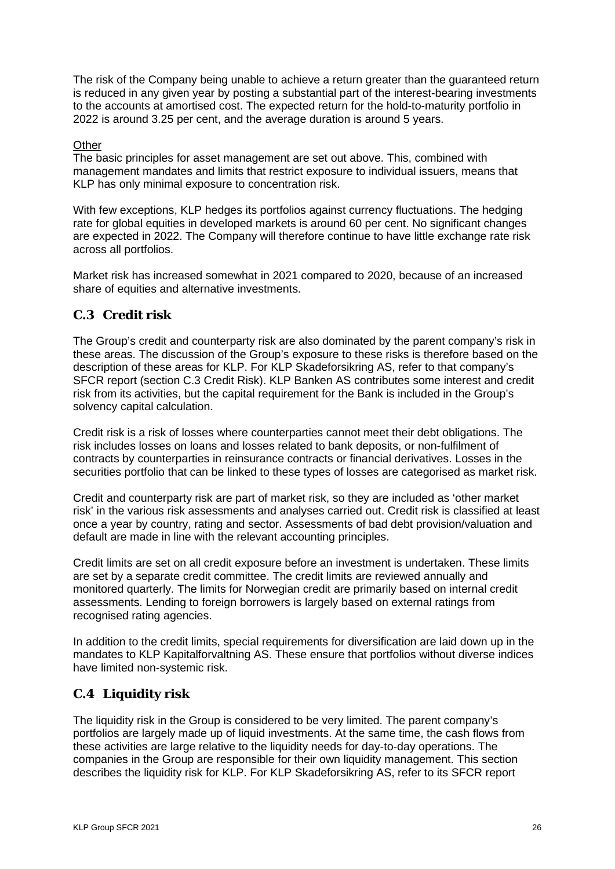The risk of the Company being unable to achieve a return greater than the guaranteed return is reduced in any given year by posting a substantial part of the interest-bearing investments to the accounts at amortised cost. The expected return for the hold-to-maturity portfolio in 2022 is around 3.25 per cent, and the average duration is around 5 years.

#### **Other**

The basic principles for asset management are set out above. This, combined with management mandates and limits that restrict exposure to individual issuers, means that KLP has only minimal exposure to concentration risk.

With few exceptions, KLP hedges its portfolios against currency fluctuations. The hedging rate for global equities in developed markets is around 60 per cent. No significant changes are expected in 2022. The Company will therefore continue to have little exchange rate risk across all portfolios.

Market risk has increased somewhat in 2021 compared to 2020, because of an increased share of equities and alternative investments.

#### <span id="page-25-0"></span>**C.3 Credit risk**

The Group's credit and counterparty risk are also dominated by the parent company's risk in these areas. The discussion of the Group's exposure to these risks is therefore based on the description of these areas for KLP. For KLP Skadeforsikring AS, refer to that company's SFCR report (section C.3 Credit Risk). KLP Banken AS contributes some interest and credit risk from its activities, but the capital requirement for the Bank is included in the Group's solvency capital calculation.

Credit risk is a risk of losses where counterparties cannot meet their debt obligations. The risk includes losses on loans and losses related to bank deposits, or non-fulfilment of contracts by counterparties in reinsurance contracts or financial derivatives. Losses in the securities portfolio that can be linked to these types of losses are categorised as market risk.

Credit and counterparty risk are part of market risk, so they are included as 'other market risk' in the various risk assessments and analyses carried out. Credit risk is classified at least once a year by country, rating and sector. Assessments of bad debt provision/valuation and default are made in line with the relevant accounting principles.

Credit limits are set on all credit exposure before an investment is undertaken. These limits are set by a separate credit committee. The credit limits are reviewed annually and monitored quarterly. The limits for Norwegian credit are primarily based on internal credit assessments. Lending to foreign borrowers is largely based on external ratings from recognised rating agencies.

In addition to the credit limits, special requirements for diversification are laid down up in the mandates to KLP Kapitalforvaltning AS. These ensure that portfolios without diverse indices have limited non-systemic risk.

# <span id="page-25-1"></span>**C.4 Liquidity risk**

The liquidity risk in the Group is considered to be very limited. The parent company's portfolios are largely made up of liquid investments. At the same time, the cash flows from these activities are large relative to the liquidity needs for day-to-day operations. The companies in the Group are responsible for their own liquidity management. This section describes the liquidity risk for KLP. For KLP Skadeforsikring AS, refer to its SFCR report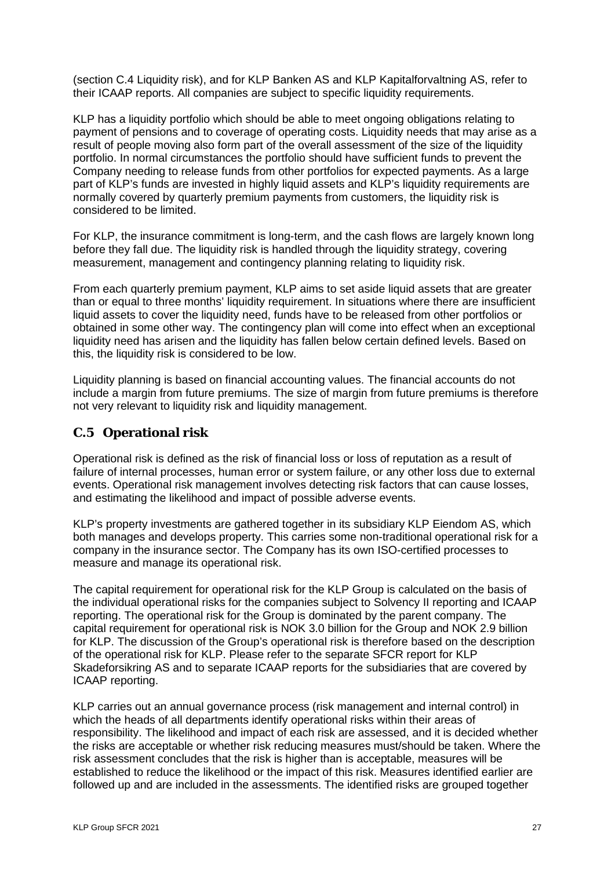(section C.4 Liquidity risk), and for KLP Banken AS and KLP Kapitalforvaltning AS, refer to their ICAAP reports. All companies are subject to specific liquidity requirements.

KLP has a liquidity portfolio which should be able to meet ongoing obligations relating to payment of pensions and to coverage of operating costs. Liquidity needs that may arise as a result of people moving also form part of the overall assessment of the size of the liquidity portfolio. In normal circumstances the portfolio should have sufficient funds to prevent the Company needing to release funds from other portfolios for expected payments. As a large part of KLP's funds are invested in highly liquid assets and KLP's liquidity requirements are normally covered by quarterly premium payments from customers, the liquidity risk is considered to be limited.

For KLP, the insurance commitment is long-term, and the cash flows are largely known long before they fall due. The liquidity risk is handled through the liquidity strategy, covering measurement, management and contingency planning relating to liquidity risk.

From each quarterly premium payment, KLP aims to set aside liquid assets that are greater than or equal to three months' liquidity requirement. In situations where there are insufficient liquid assets to cover the liquidity need, funds have to be released from other portfolios or obtained in some other way. The contingency plan will come into effect when an exceptional liquidity need has arisen and the liquidity has fallen below certain defined levels. Based on this, the liquidity risk is considered to be low.

Liquidity planning is based on financial accounting values. The financial accounts do not include a margin from future premiums. The size of margin from future premiums is therefore not very relevant to liquidity risk and liquidity management.

# <span id="page-26-0"></span>**C.5 Operational risk**

Operational risk is defined as the risk of financial loss or loss of reputation as a result of failure of internal processes, human error or system failure, or any other loss due to external events. Operational risk management involves detecting risk factors that can cause losses, and estimating the likelihood and impact of possible adverse events.

KLP's property investments are gathered together in its subsidiary KLP Eiendom AS, which both manages and develops property. This carries some non-traditional operational risk for a company in the insurance sector. The Company has its own ISO-certified processes to measure and manage its operational risk.

The capital requirement for operational risk for the KLP Group is calculated on the basis of the individual operational risks for the companies subject to Solvency II reporting and ICAAP reporting. The operational risk for the Group is dominated by the parent company. The capital requirement for operational risk is NOK 3.0 billion for the Group and NOK 2.9 billion for KLP. The discussion of the Group's operational risk is therefore based on the description of the operational risk for KLP. Please refer to the separate SFCR report for KLP Skadeforsikring AS and to separate ICAAP reports for the subsidiaries that are covered by ICAAP reporting.

KLP carries out an annual governance process (risk management and internal control) in which the heads of all departments identify operational risks within their areas of responsibility. The likelihood and impact of each risk are assessed, and it is decided whether the risks are acceptable or whether risk reducing measures must/should be taken. Where the risk assessment concludes that the risk is higher than is acceptable, measures will be established to reduce the likelihood or the impact of this risk. Measures identified earlier are followed up and are included in the assessments. The identified risks are grouped together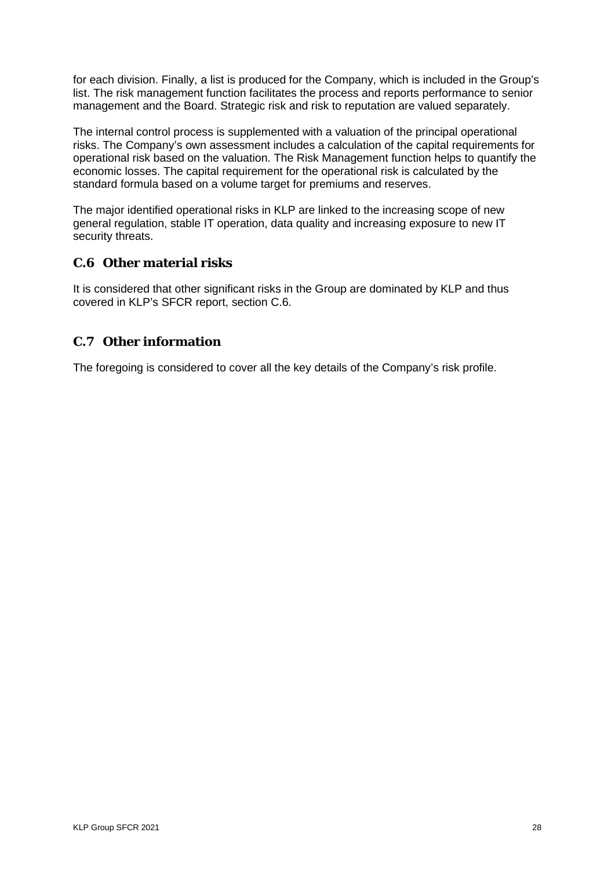for each division. Finally, a list is produced for the Company, which is included in the Group's list. The risk management function facilitates the process and reports performance to senior management and the Board. Strategic risk and risk to reputation are valued separately.

The internal control process is supplemented with a valuation of the principal operational risks. The Company's own assessment includes a calculation of the capital requirements for operational risk based on the valuation. The Risk Management function helps to quantify the economic losses. The capital requirement for the operational risk is calculated by the standard formula based on a volume target for premiums and reserves.

The major identified operational risks in KLP are linked to the increasing scope of new general regulation, stable IT operation, data quality and increasing exposure to new IT security threats.

# <span id="page-27-0"></span>**C.6 Other material risks**

It is considered that other significant risks in the Group are dominated by KLP and thus covered in KLP's SFCR report, section C.6.

# <span id="page-27-1"></span>**C.7 Other information**

The foregoing is considered to cover all the key details of the Company's risk profile.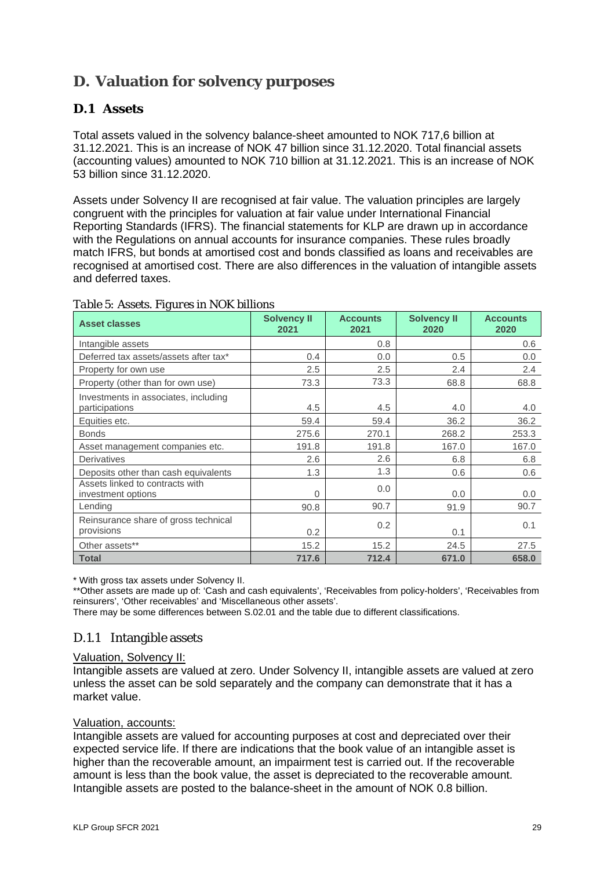# <span id="page-28-0"></span>**D. Valuation for solvency purposes**

# <span id="page-28-1"></span>**D.1 Assets**

Total assets valued in the solvency balance-sheet amounted to NOK 717,6 billion at 31.12.2021. This is an increase of NOK 47 billion since 31.12.2020. Total financial assets (accounting values) amounted to NOK 710 billion at 31.12.2021. This is an increase of NOK 53 billion since 31.12.2020.

Assets under Solvency II are recognised at fair value. The valuation principles are largely congruent with the principles for valuation at fair value under International Financial Reporting Standards (IFRS). The financial statements for KLP are drawn up in accordance with the Regulations on annual accounts for insurance companies. These rules broadly match IFRS, but bonds at amortised cost and bonds classified as loans and receivables are recognised at amortised cost. There are also differences in the valuation of intangible assets and deferred taxes.

| <b>Asset classes</b>                                   | <b>Solvency II</b><br>2021 | <b>Accounts</b><br>2021 | <b>Solvency II</b><br>2020 | <b>Accounts</b><br>2020 |
|--------------------------------------------------------|----------------------------|-------------------------|----------------------------|-------------------------|
| Intangible assets                                      |                            | 0.8                     |                            | 0.6                     |
| Deferred tax assets/assets after tax*                  | 0.4                        | 0.0                     | 0.5                        | 0.0                     |
| Property for own use                                   | 2.5                        | 2.5                     | 2.4                        | 2.4                     |
| Property (other than for own use)                      | 73.3                       | 73.3                    | 68.8                       | 68.8                    |
| Investments in associates, including<br>participations | 4.5                        | 4.5                     | 4.0                        | 4.0                     |
| Equities etc.                                          | 59.4                       | 59.4                    | 36.2                       | 36.2                    |
| <b>Bonds</b>                                           | 275.6                      | 270.1                   | 268.2                      | 253.3                   |
| Asset management companies etc.                        | 191.8                      | 191.8                   | 167.0                      | 167.0                   |
| Derivatives                                            | 2.6                        | 2.6                     | 6.8                        | 6.8                     |
| Deposits other than cash equivalents                   | 1.3                        | 1.3                     | 0.6                        | 0.6                     |
| Assets linked to contracts with<br>investment options  | $\Omega$                   | 0.0                     | 0.0                        | 0.0                     |
| Lending                                                | 90.8                       | 90.7                    | 91.9                       | 90.7                    |
| Reinsurance share of gross technical<br>provisions     | 0.2                        | 0.2                     | 0.1                        | 0.1                     |
| Other assets**                                         | 15.2                       | 15.2                    | 24.5                       | 27.5                    |
| <b>Total</b>                                           | 717.6                      | 712.4                   | 671.0                      | 658.0                   |

#### *Table 5: Assets. Figures in NOK billions*

\* With gross tax assets under Solvency II.

\*\*Other assets are made up of: 'Cash and cash equivalents', 'Receivables from policy-holders', 'Receivables from reinsurers', 'Other receivables' and 'Miscellaneous other assets'.

There may be some differences between S.02.01 and the table due to different classifications.

# D.1.1 Intangible assets

#### Valuation, Solvency II:

Intangible assets are valued at zero. Under Solvency II, intangible assets are valued at zero unless the asset can be sold separately and the company can demonstrate that it has a market value.

#### Valuation, accounts:

Intangible assets are valued for accounting purposes at cost and depreciated over their expected service life. If there are indications that the book value of an intangible asset is higher than the recoverable amount, an impairment test is carried out. If the recoverable amount is less than the book value, the asset is depreciated to the recoverable amount. Intangible assets are posted to the balance-sheet in the amount of NOK 0.8 billion.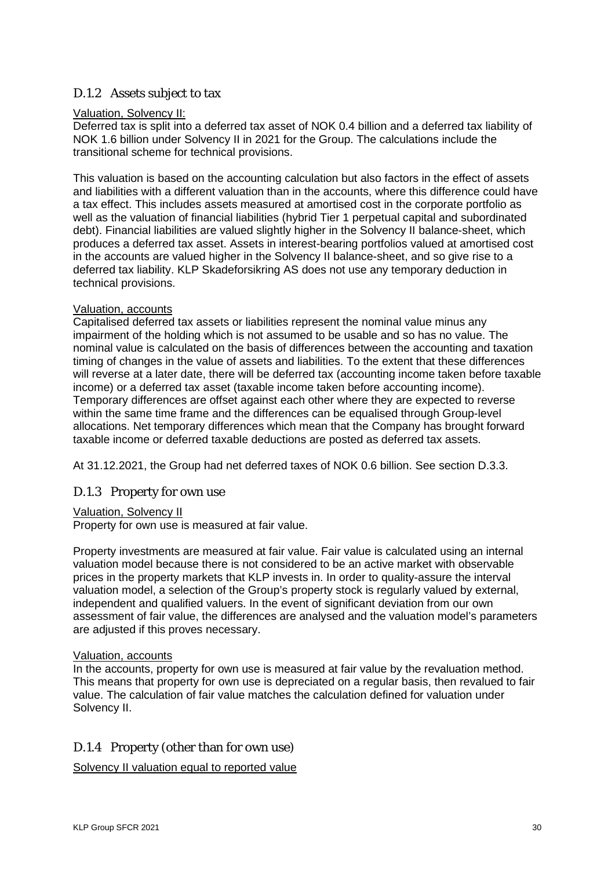#### D.1.2 Assets subject to tax

#### Valuation, Solvency II:

Deferred tax is split into a deferred tax asset of NOK 0.4 billion and a deferred tax liability of NOK 1.6 billion under Solvency II in 2021 for the Group. The calculations include the transitional scheme for technical provisions.

This valuation is based on the accounting calculation but also factors in the effect of assets and liabilities with a different valuation than in the accounts, where this difference could have a tax effect. This includes assets measured at amortised cost in the corporate portfolio as well as the valuation of financial liabilities (hybrid Tier 1 perpetual capital and subordinated debt). Financial liabilities are valued slightly higher in the Solvency II balance-sheet, which produces a deferred tax asset. Assets in interest-bearing portfolios valued at amortised cost in the accounts are valued higher in the Solvency II balance-sheet, and so give rise to a deferred tax liability. KLP Skadeforsikring AS does not use any temporary deduction in technical provisions.

#### Valuation, accounts

Capitalised deferred tax assets or liabilities represent the nominal value minus any impairment of the holding which is not assumed to be usable and so has no value. The nominal value is calculated on the basis of differences between the accounting and taxation timing of changes in the value of assets and liabilities. To the extent that these differences will reverse at a later date, there will be deferred tax (accounting income taken before taxable income) or a deferred tax asset (taxable income taken before accounting income). Temporary differences are offset against each other where they are expected to reverse within the same time frame and the differences can be equalised through Group-level allocations. Net temporary differences which mean that the Company has brought forward taxable income or deferred taxable deductions are posted as deferred tax assets.

At 31.12.2021, the Group had net deferred taxes of NOK 0.6 billion. See section D.3.3.

#### D.1.3 Property for own use

#### Valuation, Solvency II

Property for own use is measured at fair value.

Property investments are measured at fair value. Fair value is calculated using an internal valuation model because there is not considered to be an active market with observable prices in the property markets that KLP invests in. In order to quality-assure the interval valuation model, a selection of the Group's property stock is regularly valued by external, independent and qualified valuers. In the event of significant deviation from our own assessment of fair value, the differences are analysed and the valuation model's parameters are adjusted if this proves necessary.

#### Valuation, accounts

In the accounts, property for own use is measured at fair value by the revaluation method. This means that property for own use is depreciated on a regular basis, then revalued to fair value. The calculation of fair value matches the calculation defined for valuation under Solvency II.

#### D.1.4 Property (other than for own use)

Solvency II valuation equal to reported value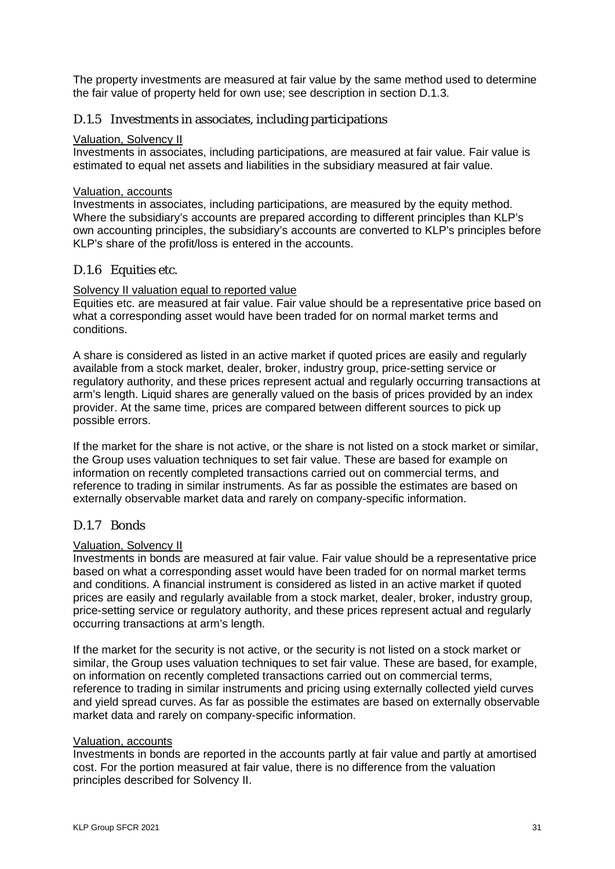The property investments are measured at fair value by the same method used to determine the fair value of property held for own use; see description in section D.1.3.

#### D.1.5 Investments in associates, including participations

#### Valuation, Solvency II

Investments in associates, including participations, are measured at fair value. Fair value is estimated to equal net assets and liabilities in the subsidiary measured at fair value.

#### Valuation, accounts

Investments in associates, including participations, are measured by the equity method. Where the subsidiary's accounts are prepared according to different principles than KLP's own accounting principles, the subsidiary's accounts are converted to KLP's principles before KLP's share of the profit/loss is entered in the accounts.

#### D.1.6 Equities etc.

#### Solvency II valuation equal to reported value

Equities etc. are measured at fair value. Fair value should be a representative price based on what a corresponding asset would have been traded for on normal market terms and conditions.

A share is considered as listed in an active market if quoted prices are easily and regularly available from a stock market, dealer, broker, industry group, price-setting service or regulatory authority, and these prices represent actual and regularly occurring transactions at arm's length. Liquid shares are generally valued on the basis of prices provided by an index provider. At the same time, prices are compared between different sources to pick up possible errors.

If the market for the share is not active, or the share is not listed on a stock market or similar, the Group uses valuation techniques to set fair value. These are based for example on information on recently completed transactions carried out on commercial terms, and reference to trading in similar instruments. As far as possible the estimates are based on externally observable market data and rarely on company-specific information.

#### D.1.7 Bonds

#### Valuation, Solvency II

Investments in bonds are measured at fair value. Fair value should be a representative price based on what a corresponding asset would have been traded for on normal market terms and conditions. A financial instrument is considered as listed in an active market if quoted prices are easily and regularly available from a stock market, dealer, broker, industry group, price-setting service or regulatory authority, and these prices represent actual and regularly occurring transactions at arm's length.

If the market for the security is not active, or the security is not listed on a stock market or similar, the Group uses valuation techniques to set fair value. These are based, for example, on information on recently completed transactions carried out on commercial terms, reference to trading in similar instruments and pricing using externally collected yield curves and yield spread curves. As far as possible the estimates are based on externally observable market data and rarely on company-specific information.

#### Valuation, accounts

Investments in bonds are reported in the accounts partly at fair value and partly at amortised cost. For the portion measured at fair value, there is no difference from the valuation principles described for Solvency II.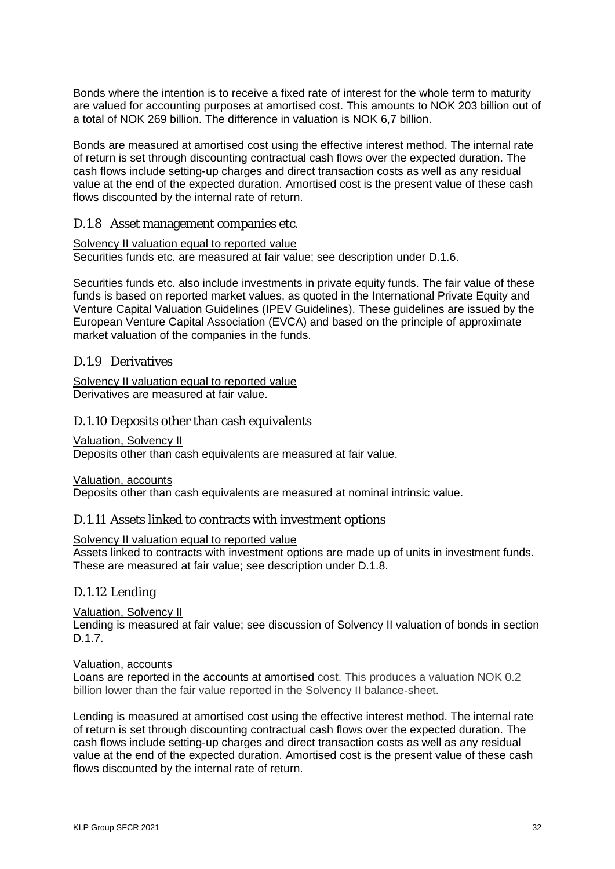Bonds where the intention is to receive a fixed rate of interest for the whole term to maturity are valued for accounting purposes at amortised cost. This amounts to NOK 203 billion out of a total of NOK 269 billion. The difference in valuation is NOK 6,7 billion.

Bonds are measured at amortised cost using the effective interest method. The internal rate of return is set through discounting contractual cash flows over the expected duration. The cash flows include setting-up charges and direct transaction costs as well as any residual value at the end of the expected duration. Amortised cost is the present value of these cash flows discounted by the internal rate of return.

#### D.1.8 Asset management companies etc.

#### Solvency II valuation equal to reported value

Securities funds etc. are measured at fair value; see description under D.1.6.

Securities funds etc. also include investments in private equity funds. The fair value of these funds is based on reported market values, as quoted in the International Private Equity and Venture Capital Valuation Guidelines (IPEV Guidelines). These guidelines are issued by the European Venture Capital Association (EVCA) and based on the principle of approximate market valuation of the companies in the funds.

#### D.1.9 Derivatives

Solvency II valuation equal to reported value Derivatives are measured at fair value.

#### D.1.10 Deposits other than cash equivalents

Valuation, Solvency II

Deposits other than cash equivalents are measured at fair value.

Valuation, accounts

Deposits other than cash equivalents are measured at nominal intrinsic value.

#### D.1.11 Assets linked to contracts with investment options

#### Solvency II valuation equal to reported value

Assets linked to contracts with investment options are made up of units in investment funds. These are measured at fair value; see description under D.1.8.

#### D.1.12 Lending

Valuation, Solvency II

Lending is measured at fair value; see discussion of Solvency II valuation of bonds in section D.1.7.

#### Valuation, accounts

Loans are reported in the accounts at amortised cost. This produces a valuation NOK 0.2 billion lower than the fair value reported in the Solvency II balance-sheet.

Lending is measured at amortised cost using the effective interest method. The internal rate of return is set through discounting contractual cash flows over the expected duration. The cash flows include setting-up charges and direct transaction costs as well as any residual value at the end of the expected duration. Amortised cost is the present value of these cash flows discounted by the internal rate of return.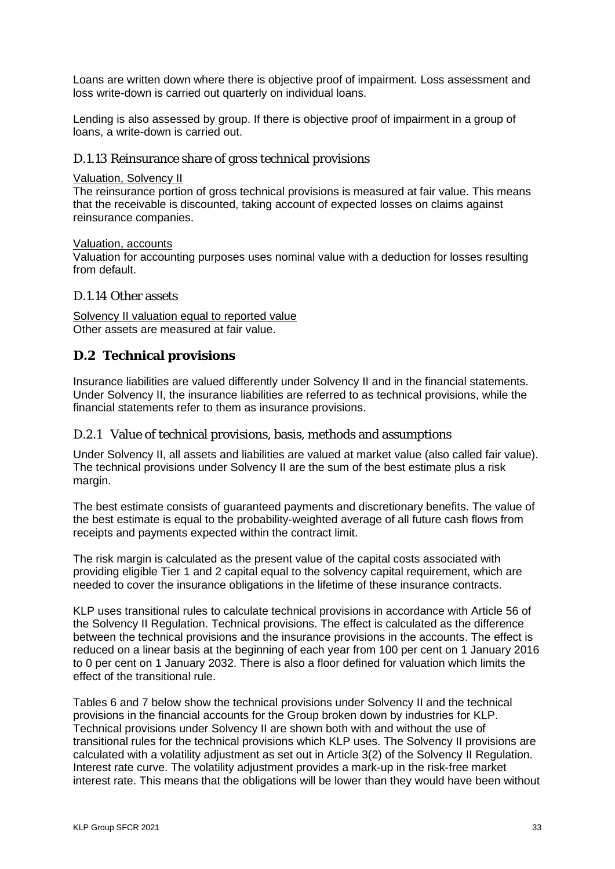Loans are written down where there is objective proof of impairment. Loss assessment and loss write-down is carried out quarterly on individual loans.

Lending is also assessed by group. If there is objective proof of impairment in a group of loans, a write-down is carried out.

#### D.1.13 Reinsurance share of gross technical provisions

#### Valuation, Solvency II

The reinsurance portion of gross technical provisions is measured at fair value. This means that the receivable is discounted, taking account of expected losses on claims against reinsurance companies.

#### Valuation, accounts

Valuation for accounting purposes uses nominal value with a deduction for losses resulting from default.

#### D.1.14 Other assets

Solvency II valuation equal to reported value Other assets are measured at fair value.

#### <span id="page-32-0"></span>**D.2 Technical provisions**

Insurance liabilities are valued differently under Solvency II and in the financial statements. Under Solvency II, the insurance liabilities are referred to as technical provisions, while the financial statements refer to them as insurance provisions.

#### D.2.1 Value of technical provisions, basis, methods and assumptions

Under Solvency II, all assets and liabilities are valued at market value (also called fair value). The technical provisions under Solvency II are the sum of the best estimate plus a risk margin.

The best estimate consists of guaranteed payments and discretionary benefits. The value of the best estimate is equal to the probability-weighted average of all future cash flows from receipts and payments expected within the contract limit.

The risk margin is calculated as the present value of the capital costs associated with providing eligible Tier 1 and 2 capital equal to the solvency capital requirement, which are needed to cover the insurance obligations in the lifetime of these insurance contracts.

KLP uses transitional rules to calculate technical provisions in accordance with Article 56 of the Solvency II Regulation. Technical provisions. The effect is calculated as the difference between the technical provisions and the insurance provisions in the accounts. The effect is reduced on a linear basis at the beginning of each year from 100 per cent on 1 January 2016 to 0 per cent on 1 January 2032. There is also a floor defined for valuation which limits the effect of the transitional rule.

Tables 6 and 7 below show the technical provisions under Solvency II and the technical provisions in the financial accounts for the Group broken down by industries for KLP. Technical provisions under Solvency II are shown both with and without the use of transitional rules for the technical provisions which KLP uses. The Solvency II provisions are calculated with a volatility adjustment as set out in Article 3(2) of the Solvency II Regulation. Interest rate curve. The volatility adjustment provides a mark-up in the risk-free market interest rate. This means that the obligations will be lower than they would have been without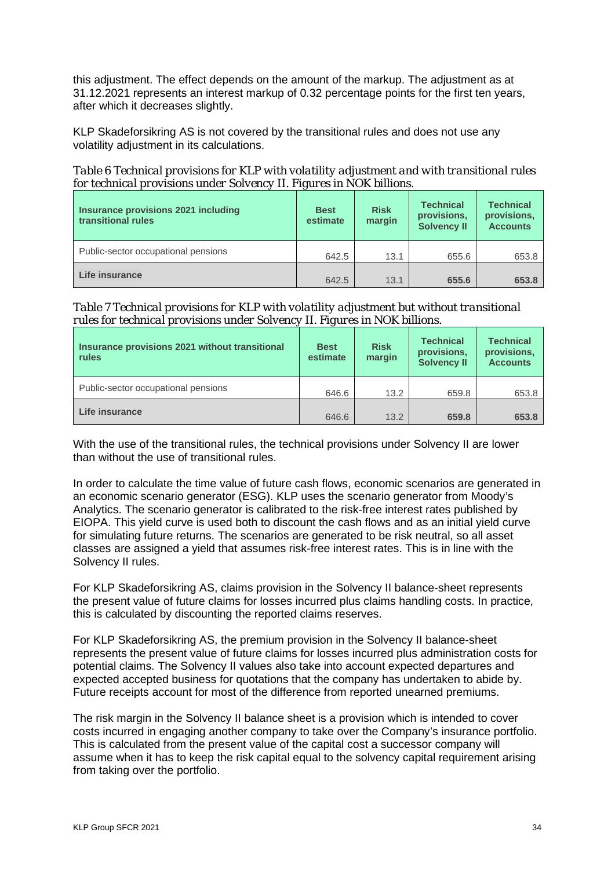this adjustment. The effect depends on the amount of the markup. The adjustment as at 31.12.2021 represents an interest markup of 0.32 percentage points for the first ten years, after which it decreases slightly.

KLP Skadeforsikring AS is not covered by the transitional rules and does not use any volatility adjustment in its calculations.

*Table 6 Technical provisions for KLP with volatility adjustment and with transitional rules for technical provisions under Solvency II. Figures in NOK billions.* 

| Insurance provisions 2021 including<br>transitional rules | <b>Best</b><br>estimate | <b>Risk</b><br>margin | <b>Technical</b><br>provisions,<br><b>Solvency II</b> | <b>Technical</b><br>provisions,<br><b>Accounts</b> |
|-----------------------------------------------------------|-------------------------|-----------------------|-------------------------------------------------------|----------------------------------------------------|
| Public-sector occupational pensions                       | 642.5                   | 13.1                  | 655.6                                                 | 653.8                                              |
| Life insurance                                            | 642.5                   | 13.1                  | 655.6                                                 | 653.8                                              |

*Table 7 Technical provisions for KLP with volatility adjustment but without transitional rules for technical provisions under Solvency II. Figures in NOK billions.* 

| Insurance provisions 2021 without transitional<br>rules | <b>Best</b><br>estimate | <b>Risk</b><br>margin | <b>Technical</b><br>provisions,<br><b>Solvency II</b> | <b>Technical</b><br>provisions,<br><b>Accounts</b> |
|---------------------------------------------------------|-------------------------|-----------------------|-------------------------------------------------------|----------------------------------------------------|
| Public-sector occupational pensions                     | 646.6                   | 13.2                  | 659.8                                                 | 653.8                                              |
| Life insurance                                          | 646.6                   | 13.2                  | 659.8                                                 | 653.8                                              |

With the use of the transitional rules, the technical provisions under Solvency II are lower than without the use of transitional rules.

In order to calculate the time value of future cash flows, economic scenarios are generated in an economic scenario generator (ESG). KLP uses the scenario generator from Moody's Analytics. The scenario generator is calibrated to the risk-free interest rates published by EIOPA. This yield curve is used both to discount the cash flows and as an initial yield curve for simulating future returns. The scenarios are generated to be risk neutral, so all asset classes are assigned a yield that assumes risk-free interest rates. This is in line with the Solvency II rules.

For KLP Skadeforsikring AS, claims provision in the Solvency II balance-sheet represents the present value of future claims for losses incurred plus claims handling costs. In practice, this is calculated by discounting the reported claims reserves.

For KLP Skadeforsikring AS, the premium provision in the Solvency II balance-sheet represents the present value of future claims for losses incurred plus administration costs for potential claims. The Solvency II values also take into account expected departures and expected accepted business for quotations that the company has undertaken to abide by. Future receipts account for most of the difference from reported unearned premiums.

The risk margin in the Solvency II balance sheet is a provision which is intended to cover costs incurred in engaging another company to take over the Company's insurance portfolio. This is calculated from the present value of the capital cost a successor company will assume when it has to keep the risk capital equal to the solvency capital requirement arising from taking over the portfolio.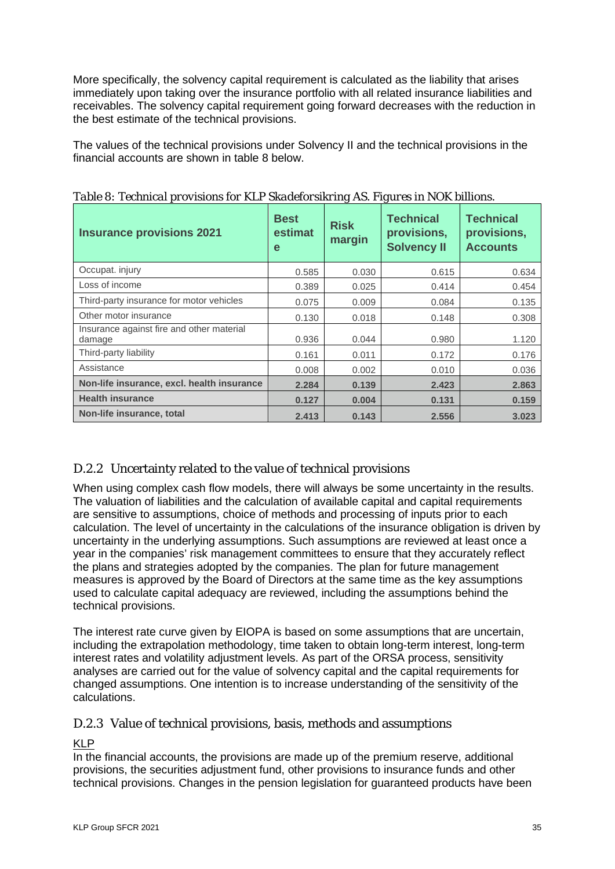More specifically, the solvency capital requirement is calculated as the liability that arises immediately upon taking over the insurance portfolio with all related insurance liabilities and receivables. The solvency capital requirement going forward decreases with the reduction in the best estimate of the technical provisions.

The values of the technical provisions under Solvency II and the technical provisions in the financial accounts are shown in table 8 below.

| <b>Insurance provisions 2021</b>                    | <b>Best</b><br>estimat<br>e | <b>Risk</b><br>margin | <b>Technical</b><br>provisions,<br><b>Solvency II</b> | <b>Technical</b><br>provisions,<br><b>Accounts</b> |
|-----------------------------------------------------|-----------------------------|-----------------------|-------------------------------------------------------|----------------------------------------------------|
| Occupat. injury                                     | 0.585                       | 0.030                 | 0.615                                                 | 0.634                                              |
| Loss of income                                      | 0.389                       | 0.025                 | 0.414                                                 | 0.454                                              |
| Third-party insurance for motor vehicles            | 0.075                       | 0.009                 | 0.084                                                 | 0.135                                              |
| Other motor insurance                               | 0.130                       | 0.018                 | 0.148                                                 | 0.308                                              |
| Insurance against fire and other material<br>damage | 0.936                       | 0.044                 | 0.980                                                 | 1.120                                              |
| Third-party liability                               | 0.161                       | 0.011                 | 0.172                                                 | 0.176                                              |
| Assistance                                          | 0.008                       | 0.002                 | 0.010                                                 | 0.036                                              |
| Non-life insurance, excl. health insurance          | 2.284                       | 0.139                 | 2.423                                                 | 2.863                                              |
| <b>Health insurance</b>                             | 0.127                       | 0.004                 | 0.131                                                 | 0.159                                              |
| Non-life insurance, total                           | 2.413                       | 0.143                 | 2.556                                                 | 3.023                                              |

*Table 8: Technical provisions for KLP Skadeforsikring AS. Figures in NOK billions.*

# D.2.2 Uncertainty related to the value of technical provisions

When using complex cash flow models, there will always be some uncertainty in the results. The valuation of liabilities and the calculation of available capital and capital requirements are sensitive to assumptions, choice of methods and processing of inputs prior to each calculation. The level of uncertainty in the calculations of the insurance obligation is driven by uncertainty in the underlying assumptions. Such assumptions are reviewed at least once a year in the companies' risk management committees to ensure that they accurately reflect the plans and strategies adopted by the companies. The plan for future management measures is approved by the Board of Directors at the same time as the key assumptions used to calculate capital adequacy are reviewed, including the assumptions behind the technical provisions.

The interest rate curve given by EIOPA is based on some assumptions that are uncertain, including the extrapolation methodology, time taken to obtain long-term interest, long-term interest rates and volatility adjustment levels. As part of the ORSA process, sensitivity analyses are carried out for the value of solvency capital and the capital requirements for changed assumptions. One intention is to increase understanding of the sensitivity of the calculations.

#### D.2.3 Value of technical provisions, basis, methods and assumptions

# KLP

In the financial accounts, the provisions are made up of the premium reserve, additional provisions, the securities adjustment fund, other provisions to insurance funds and other technical provisions. Changes in the pension legislation for guaranteed products have been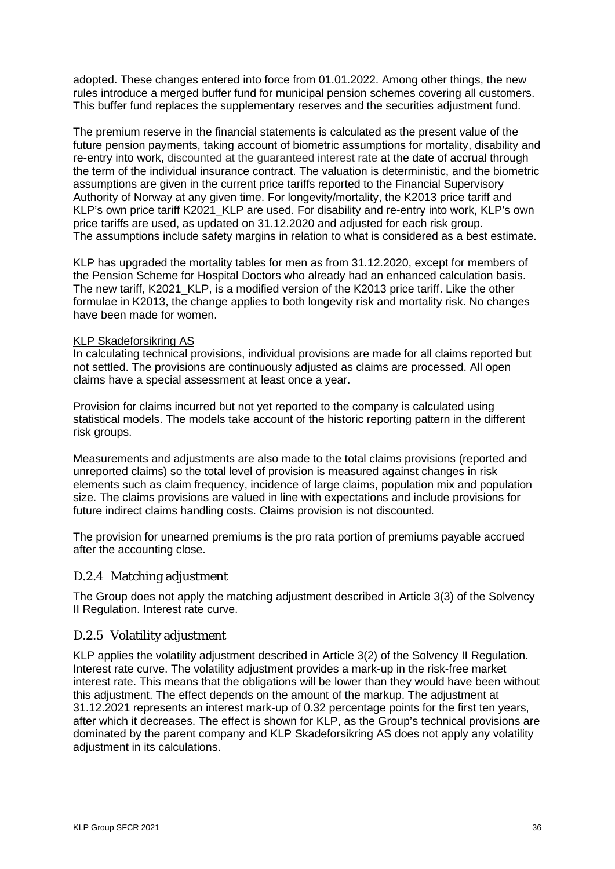adopted. These changes entered into force from 01.01.2022. Among other things, the new rules introduce a merged buffer fund for municipal pension schemes covering all customers. This buffer fund replaces the supplementary reserves and the securities adjustment fund.

The premium reserve in the financial statements is calculated as the present value of the future pension payments, taking account of biometric assumptions for mortality, disability and re-entry into work, discounted at the guaranteed interest rate at the date of accrual through the term of the individual insurance contract. The valuation is deterministic, and the biometric assumptions are given in the current price tariffs reported to the Financial Supervisory Authority of Norway at any given time. For longevity/mortality, the K2013 price tariff and KLP's own price tariff K2021 KLP are used. For disability and re-entry into work, KLP's own price tariffs are used, as updated on 31.12.2020 and adjusted for each risk group. The assumptions include safety margins in relation to what is considered as a best estimate.

KLP has upgraded the mortality tables for men as from 31.12.2020, except for members of the Pension Scheme for Hospital Doctors who already had an enhanced calculation basis. The new tariff, K2021 KLP, is a modified version of the K2013 price tariff. Like the other formulae in K2013, the change applies to both longevity risk and mortality risk. No changes have been made for women.

#### KLP Skadeforsikring AS

In calculating technical provisions, individual provisions are made for all claims reported but not settled. The provisions are continuously adjusted as claims are processed. All open claims have a special assessment at least once a year.

Provision for claims incurred but not yet reported to the company is calculated using statistical models. The models take account of the historic reporting pattern in the different risk groups.

Measurements and adjustments are also made to the total claims provisions (reported and unreported claims) so the total level of provision is measured against changes in risk elements such as claim frequency, incidence of large claims, population mix and population size. The claims provisions are valued in line with expectations and include provisions for future indirect claims handling costs. Claims provision is not discounted.

The provision for unearned premiums is the pro rata portion of premiums payable accrued after the accounting close.

#### D.2.4 Matching adjustment

The Group does not apply the matching adjustment described in Article 3(3) of the Solvency II Regulation. Interest rate curve.

#### D.2.5 Volatility adjustment

KLP applies the volatility adjustment described in Article 3(2) of the Solvency II Regulation. Interest rate curve. The volatility adjustment provides a mark-up in the risk-free market interest rate. This means that the obligations will be lower than they would have been without this adjustment. The effect depends on the amount of the markup. The adjustment at 31.12.2021 represents an interest mark-up of 0.32 percentage points for the first ten years, after which it decreases. The effect is shown for KLP, as the Group's technical provisions are dominated by the parent company and KLP Skadeforsikring AS does not apply any volatility adiustment in its calculations.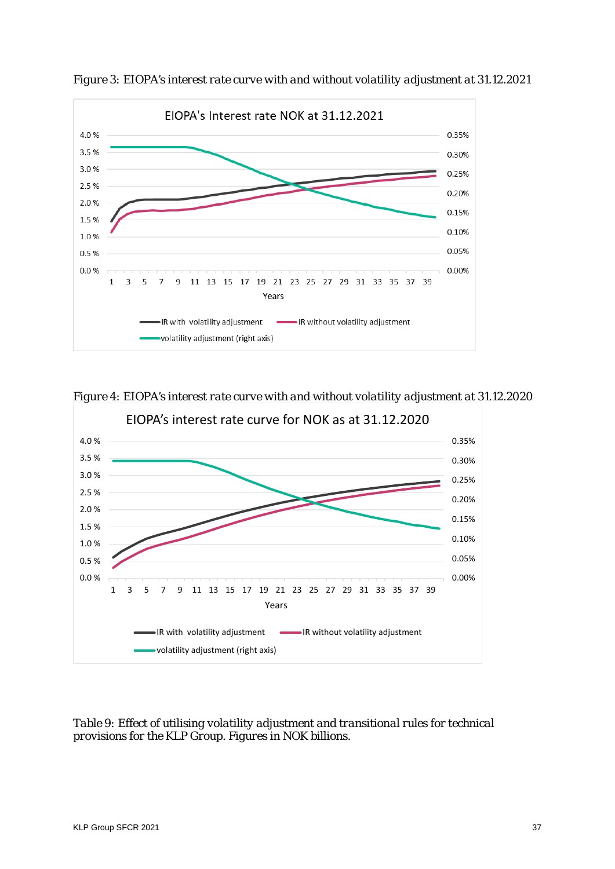

*Figure 3: EIOPA's interest rate curve with and without volatility adjustment at 31.12.2021*

*Figure 4: EIOPA's interest rate curve with and without volatility adjustment at 31.12.2020*



*Table 9: Effect of utilising volatility adjustment and transitional rules for technical provisions for the KLP Group. Figures in NOK billions.*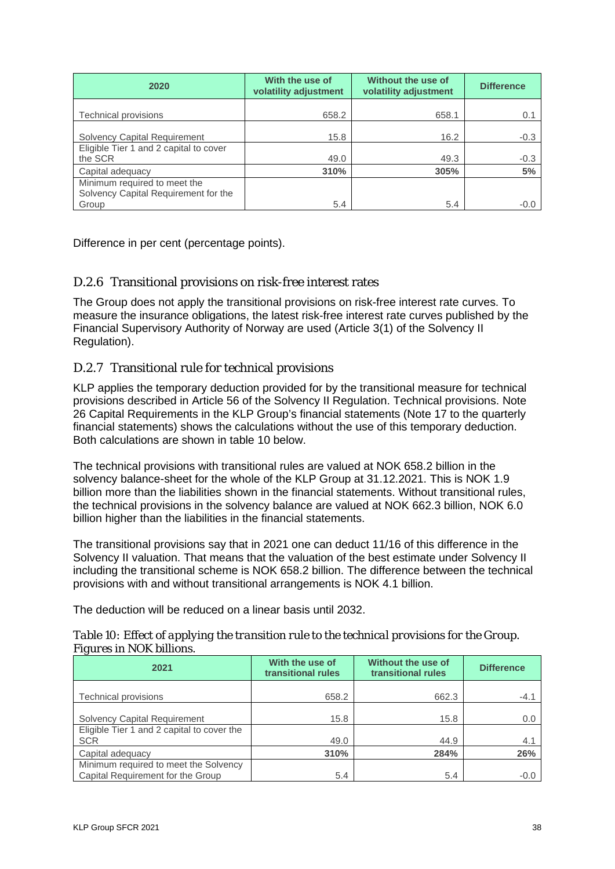| 2020                                              | With the use of<br>volatility adjustment | Without the use of<br>volatility adjustment | <b>Difference</b> |
|---------------------------------------------------|------------------------------------------|---------------------------------------------|-------------------|
| Technical provisions                              | 658.2                                    | 658.1                                       | 0.1               |
| <b>Solvency Capital Requirement</b>               | 15.8                                     | 16.2                                        | $-0.3$            |
| Eligible Tier 1 and 2 capital to cover<br>the SCR | 49.0                                     | 49.3                                        | $-0.3$            |
| Capital adequacy                                  | 310%                                     | 305%                                        | 5%                |
| Minimum required to meet the                      |                                          |                                             |                   |
| Solvency Capital Requirement for the              |                                          |                                             |                   |
| Group                                             | 5.4                                      | 5.4                                         | -0.0              |

Difference in per cent (percentage points).

#### D.2.6 Transitional provisions on risk-free interest rates

The Group does not apply the transitional provisions on risk-free interest rate curves. To measure the insurance obligations, the latest risk-free interest rate curves published by the Financial Supervisory Authority of Norway are used (Article 3(1) of the Solvency II Regulation).

#### D.2.7 Transitional rule for technical provisions

KLP applies the temporary deduction provided for by the transitional measure for technical provisions described in Article 56 of the Solvency II Regulation. Technical provisions. Note 26 Capital Requirements in the KLP Group's financial statements (Note 17 to the quarterly financial statements) shows the calculations without the use of this temporary deduction. Both calculations are shown in table 10 below.

The technical provisions with transitional rules are valued at NOK 658.2 billion in the solvency balance-sheet for the whole of the KLP Group at 31.12.2021. This is NOK 1.9 billion more than the liabilities shown in the financial statements. Without transitional rules, the technical provisions in the solvency balance are valued at NOK 662.3 billion, NOK 6.0 billion higher than the liabilities in the financial statements.

The transitional provisions say that in 2021 one can deduct 11/16 of this difference in the Solvency II valuation. That means that the valuation of the best estimate under Solvency II including the transitional scheme is NOK 658.2 billion. The difference between the technical provisions with and without transitional arrangements is NOK 4.1 billion.

The deduction will be reduced on a linear basis until 2032.

| 2021                                                                       | With the use of<br>transitional rules | Without the use of<br>transitional rules | <b>Difference</b> |
|----------------------------------------------------------------------------|---------------------------------------|------------------------------------------|-------------------|
| <b>Technical provisions</b>                                                | 658.2                                 | 662.3                                    | -4.1              |
| <b>Solvency Capital Requirement</b>                                        | 15.8                                  | 15.8                                     | 0.0               |
| Eligible Tier 1 and 2 capital to cover the<br><b>SCR</b>                   | 49.0                                  | 44.9                                     | 4.1               |
| Capital adequacy                                                           | 310%                                  | 284%                                     | 26%               |
| Minimum required to meet the Solvency<br>Capital Requirement for the Group | 5.4                                   | 5.4                                      | $-0.0$            |

#### *Table 10: Effect of applying the transition rule to the technical provisions for the Group. Figures in NOK billions.*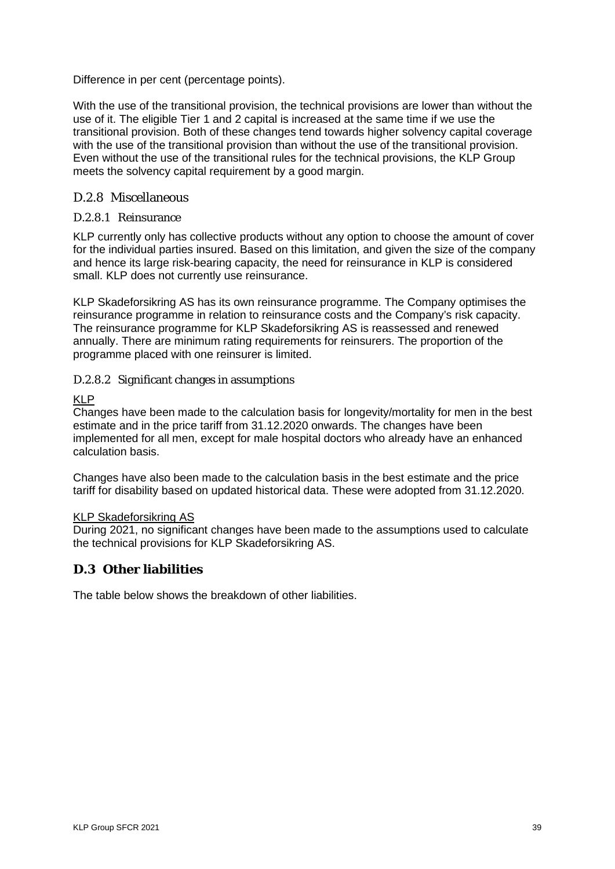Difference in per cent (percentage points).

With the use of the transitional provision, the technical provisions are lower than without the use of it. The eligible Tier 1 and 2 capital is increased at the same time if we use the transitional provision. Both of these changes tend towards higher solvency capital coverage with the use of the transitional provision than without the use of the transitional provision. Even without the use of the transitional rules for the technical provisions, the KLP Group meets the solvency capital requirement by a good margin.

#### D.2.8 Miscellaneous

#### D.2.8.1 Reinsurance

KLP currently only has collective products without any option to choose the amount of cover for the individual parties insured. Based on this limitation, and given the size of the company and hence its large risk-bearing capacity, the need for reinsurance in KLP is considered small. KLP does not currently use reinsurance.

KLP Skadeforsikring AS has its own reinsurance programme. The Company optimises the reinsurance programme in relation to reinsurance costs and the Company's risk capacity. The reinsurance programme for KLP Skadeforsikring AS is reassessed and renewed annually. There are minimum rating requirements for reinsurers. The proportion of the programme placed with one reinsurer is limited.

#### D.2.8.2 Significant changes in assumptions

#### KLP

Changes have been made to the calculation basis for longevity/mortality for men in the best estimate and in the price tariff from 31.12.2020 onwards. The changes have been implemented for all men, except for male hospital doctors who already have an enhanced calculation basis.

Changes have also been made to the calculation basis in the best estimate and the price tariff for disability based on updated historical data. These were adopted from 31.12.2020.

#### KLP Skadeforsikring AS

During 2021, no significant changes have been made to the assumptions used to calculate the technical provisions for KLP Skadeforsikring AS.

#### <span id="page-38-0"></span>**D.3 Other liabilities**

The table below shows the breakdown of other liabilities.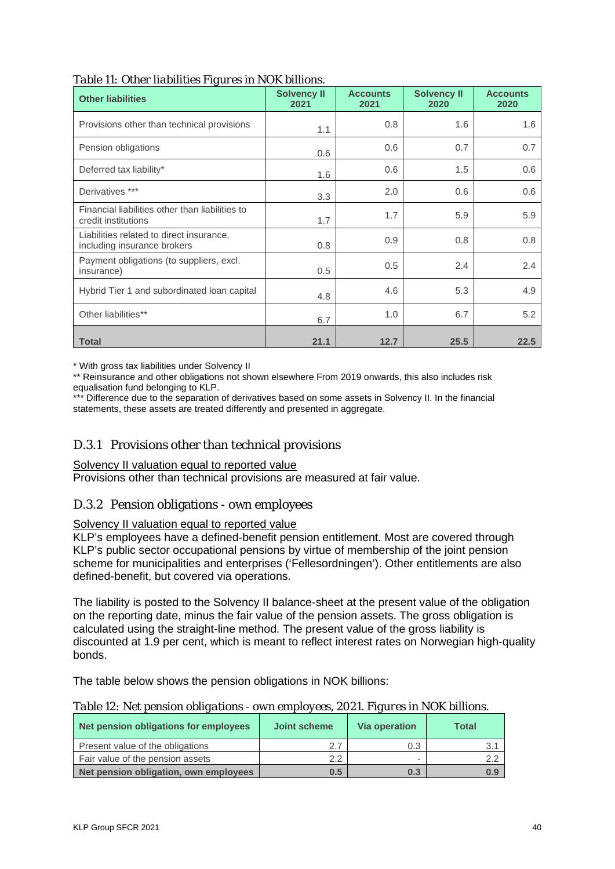| <b>Other liabilities</b>                                                | <b>Solvency II</b><br>2021 | <b>Accounts</b><br>2021 | <b>Solvency II</b><br>2020 | <b>Accounts</b><br>2020 |
|-------------------------------------------------------------------------|----------------------------|-------------------------|----------------------------|-------------------------|
| Provisions other than technical provisions                              | 1.1                        | 0.8                     | 1.6                        | 1.6                     |
| Pension obligations                                                     | 0.6                        | 0.6                     | 0.7                        | 0.7                     |
| Deferred tax liability*                                                 | 1.6                        | 0.6                     | 1.5                        | 0.6                     |
| Derivatives ***                                                         | 3.3                        | 2.0                     | 0.6                        | 0.6                     |
| Financial liabilities other than liabilities to<br>credit institutions  | 1.7                        | 1.7                     | 5.9                        | 5.9                     |
| Liabilities related to direct insurance,<br>including insurance brokers | 0.8                        | 0.9                     | 0.8                        | 0.8                     |
| Payment obligations (to suppliers, excl.<br>insurance)                  | 0.5                        | 0.5                     | 2.4                        | 2.4                     |
| Hybrid Tier 1 and subordinated loan capital                             | 4.8                        | 4.6                     | 5.3                        | 4.9                     |
| Other liabilities**                                                     | 6.7                        | 1.0                     | 6.7                        | 5.2                     |
| <b>Total</b>                                                            | 21.1                       | 12.7                    | 25.5                       | 22.5                    |

*Table 11: Other liabilities Figures in NOK billions.* 

\* With gross tax liabilities under Solvency II

\*\* Reinsurance and other obligations not shown elsewhere From 2019 onwards, this also includes risk equalisation fund belonging to KLP.

\*\*\* Difference due to the separation of derivatives based on some assets in Solvency II. In the financial statements, these assets are treated differently and presented in aggregate.

#### D.3.1 Provisions other than technical provisions

#### Solvency II valuation equal to reported value

Provisions other than technical provisions are measured at fair value.

#### D.3.2 Pension obligations - own employees

#### Solvency II valuation equal to reported value

KLP's employees have a defined-benefit pension entitlement. Most are covered through KLP's public sector occupational pensions by virtue of membership of the joint pension scheme for municipalities and enterprises ('Fellesordningen'). Other entitlements are also defined-benefit, but covered via operations.

The liability is posted to the Solvency II balance-sheet at the present value of the obligation on the reporting date, minus the fair value of the pension assets. The gross obligation is calculated using the straight-line method. The present value of the gross liability is discounted at 1.9 per cent, which is meant to reflect interest rates on Norwegian high-quality bonds.

The table below shows the pension obligations in NOK billions:

|  | Table 12: Net pension obligations - own employees, 2021. Figures in NOK billions. |
|--|-----------------------------------------------------------------------------------|
|--|-----------------------------------------------------------------------------------|

| Net pension obligations for employees | Joint scheme | <b>Via operation</b> | <b>Total</b> |
|---------------------------------------|--------------|----------------------|--------------|
| Present value of the obligations      | 27           | 0.3                  |              |
| Fair value of the pension assets      | 2.2          |                      | っっ           |
| Net pension obligation, own employees | 0.5          | 0.3                  | 0.9          |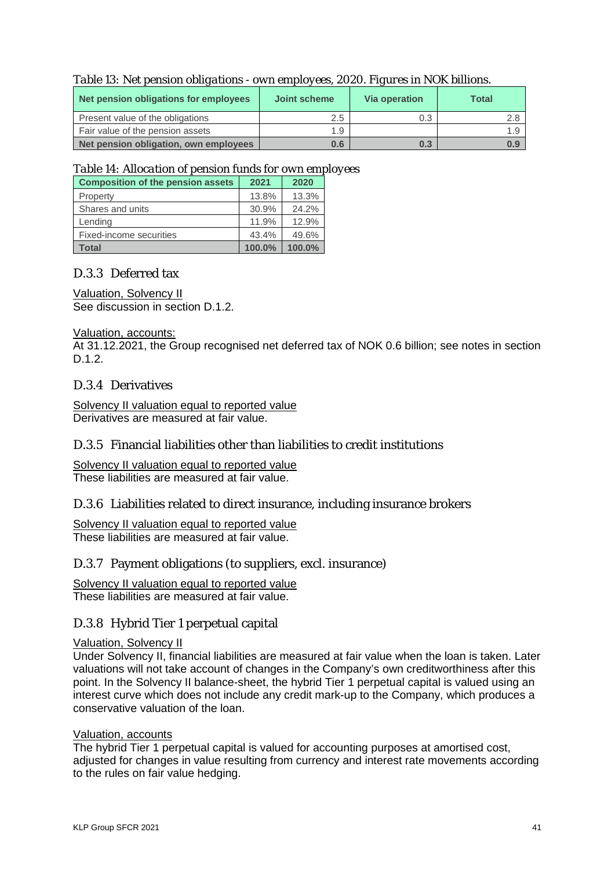| Net pension obligations for employees | Joint scheme | <b>Via operation</b> | Total |
|---------------------------------------|--------------|----------------------|-------|
| Present value of the obligations      | 2.5          | 0.3                  |       |
| Fair value of the pension assets      | 1.9          |                      |       |
| Net pension obligation, own employees | 0.6          | 0.3                  |       |

*Table 13: Net pension obligations - own employees, 2020. Figures in NOK billions.* 

#### *Table 14: Allocation of pension funds for own employees*

| <b>Composition of the pension assets</b> | 2021   | 2020   |
|------------------------------------------|--------|--------|
| Property                                 | 13.8%  | 13.3%  |
| Shares and units                         | 30.9%  | 24.2%  |
| Lending                                  | 11.9%  | 12.9%  |
| Fixed-income securities                  | 43.4%  | 49.6%  |
| Total                                    | 100.0% | 100.0% |

# D.3.3 Deferred tax

#### Valuation, Solvency II

See discussion in section D.1.2.

#### Valuation, accounts:

At 31.12.2021, the Group recognised net deferred tax of NOK 0.6 billion; see notes in section D.1.2.

#### D.3.4 Derivatives

Solvency II valuation equal to reported value Derivatives are measured at fair value.

#### D.3.5 Financial liabilities other than liabilities to credit institutions

Solvency II valuation equal to reported value These liabilities are measured at fair value.

#### D.3.6 Liabilities related to direct insurance, including insurance brokers

Solvency II valuation equal to reported value These liabilities are measured at fair value.

#### D.3.7 Payment obligations (to suppliers, excl. insurance)

Solvency II valuation equal to reported value These liabilities are measured at fair value.

#### D.3.8 Hybrid Tier 1 perpetual capital

#### Valuation, Solvency II

Under Solvency II, financial liabilities are measured at fair value when the loan is taken. Later valuations will not take account of changes in the Company's own creditworthiness after this point. In the Solvency II balance-sheet, the hybrid Tier 1 perpetual capital is valued using an interest curve which does not include any credit mark-up to the Company, which produces a conservative valuation of the loan.

#### Valuation, accounts

The hybrid Tier 1 perpetual capital is valued for accounting purposes at amortised cost, adjusted for changes in value resulting from currency and interest rate movements according to the rules on fair value hedging.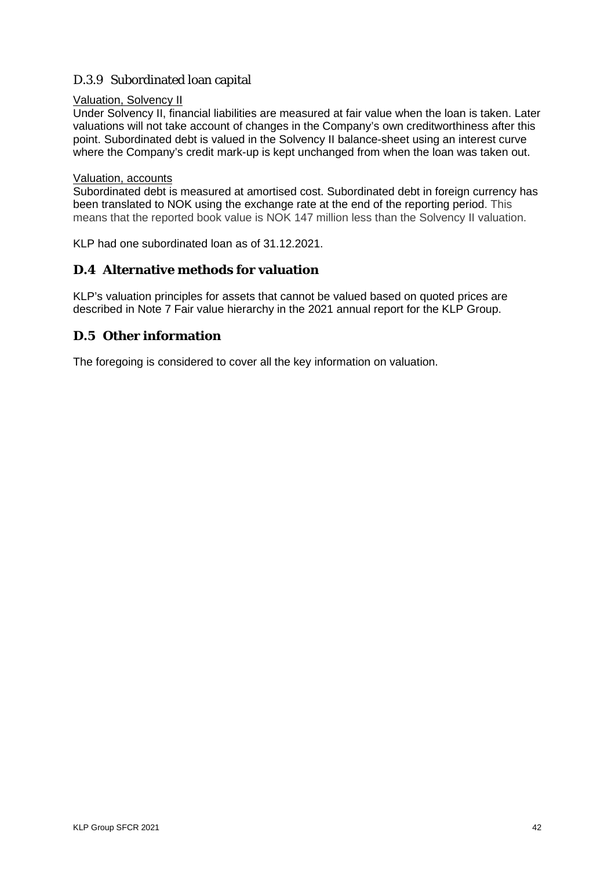# D.3.9 Subordinated loan capital

#### Valuation, Solvency II

Under Solvency II, financial liabilities are measured at fair value when the loan is taken. Later valuations will not take account of changes in the Company's own creditworthiness after this point. Subordinated debt is valued in the Solvency II balance-sheet using an interest curve where the Company's credit mark-up is kept unchanged from when the loan was taken out.

#### Valuation, accounts

Subordinated debt is measured at amortised cost. Subordinated debt in foreign currency has been translated to NOK using the exchange rate at the end of the reporting period. This means that the reported book value is NOK 147 million less than the Solvency II valuation.

KLP had one subordinated loan as of 31.12.2021.

#### <span id="page-41-0"></span>**D.4 Alternative methods for valuation**

KLP's valuation principles for assets that cannot be valued based on quoted prices are described in Note 7 Fair value hierarchy in the 2021 annual report for the KLP Group.

#### <span id="page-41-1"></span>**D.5 Other information**

The foregoing is considered to cover all the key information on valuation.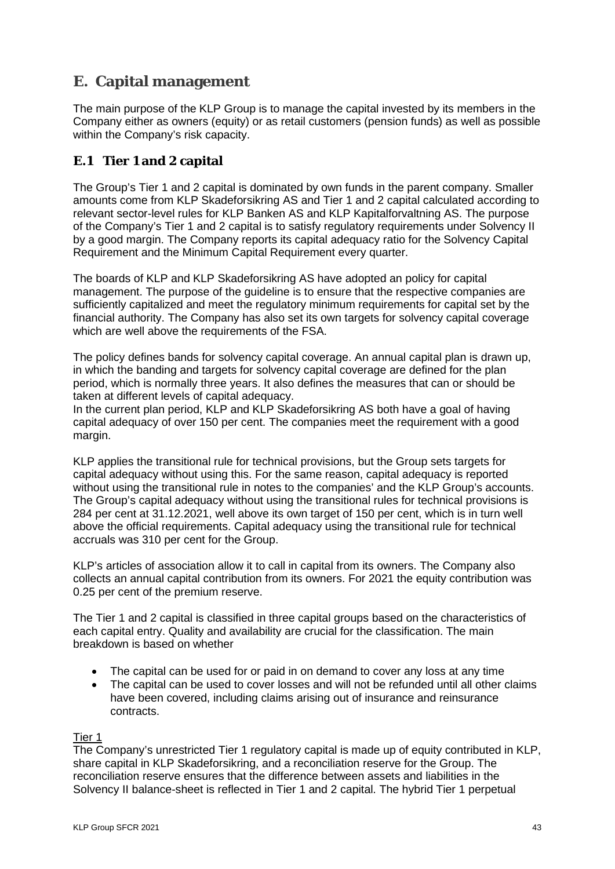# <span id="page-42-0"></span>**E. Capital management**

The main purpose of the KLP Group is to manage the capital invested by its members in the Company either as owners (equity) or as retail customers (pension funds) as well as possible within the Company's risk capacity.

# <span id="page-42-1"></span>**E.1 Tier 1 and 2 capital**

The Group's Tier 1 and 2 capital is dominated by own funds in the parent company. Smaller amounts come from KLP Skadeforsikring AS and Tier 1 and 2 capital calculated according to relevant sector-level rules for KLP Banken AS and KLP Kapitalforvaltning AS. The purpose of the Company's Tier 1 and 2 capital is to satisfy regulatory requirements under Solvency II by a good margin. The Company reports its capital adequacy ratio for the Solvency Capital Requirement and the Minimum Capital Requirement every quarter.

The boards of KLP and KLP Skadeforsikring AS have adopted an policy for capital management. The purpose of the guideline is to ensure that the respective companies are sufficiently capitalized and meet the regulatory minimum requirements for capital set by the financial authority. The Company has also set its own targets for solvency capital coverage which are well above the requirements of the FSA.

The policy defines bands for solvency capital coverage. An annual capital plan is drawn up, in which the banding and targets for solvency capital coverage are defined for the plan period, which is normally three years. It also defines the measures that can or should be taken at different levels of capital adequacy.

In the current plan period, KLP and KLP Skadeforsikring AS both have a goal of having capital adequacy of over 150 per cent. The companies meet the requirement with a good margin.

KLP applies the transitional rule for technical provisions, but the Group sets targets for capital adequacy without using this. For the same reason, capital adequacy is reported without using the transitional rule in notes to the companies' and the KLP Group's accounts. The Group's capital adequacy without using the transitional rules for technical provisions is 284 per cent at 31.12.2021, well above its own target of 150 per cent, which is in turn well above the official requirements. Capital adequacy using the transitional rule for technical accruals was 310 per cent for the Group.

KLP's articles of association allow it to call in capital from its owners. The Company also collects an annual capital contribution from its owners. For 2021 the equity contribution was 0.25 per cent of the premium reserve.

The Tier 1 and 2 capital is classified in three capital groups based on the characteristics of each capital entry. Quality and availability are crucial for the classification. The main breakdown is based on whether

- The capital can be used for or paid in on demand to cover any loss at any time
- The capital can be used to cover losses and will not be refunded until all other claims have been covered, including claims arising out of insurance and reinsurance contracts.

Tier 1

The Company's unrestricted Tier 1 regulatory capital is made up of equity contributed in KLP, share capital in KLP Skadeforsikring, and a reconciliation reserve for the Group. The reconciliation reserve ensures that the difference between assets and liabilities in the Solvency II balance-sheet is reflected in Tier 1 and 2 capital. The hybrid Tier 1 perpetual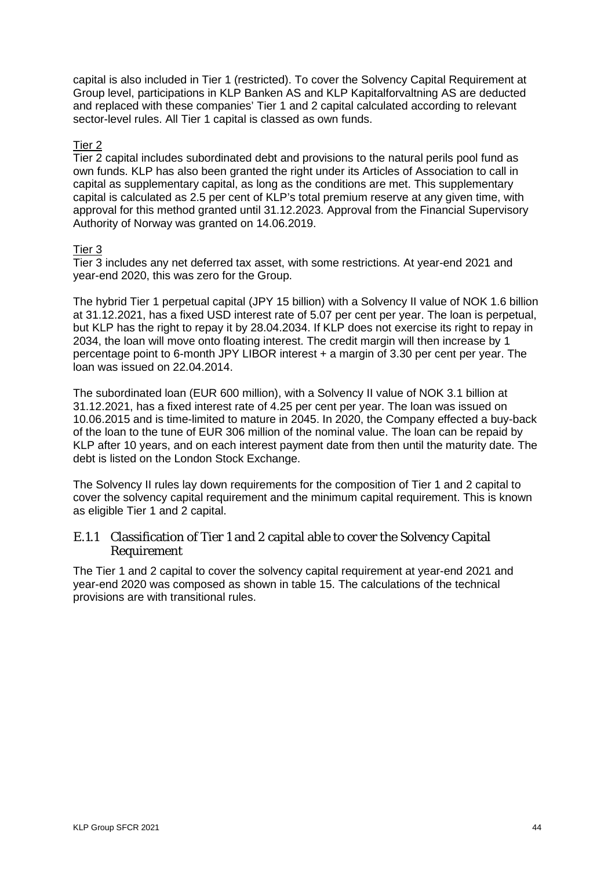capital is also included in Tier 1 (restricted). To cover the Solvency Capital Requirement at Group level, participations in KLP Banken AS and KLP Kapitalforvaltning AS are deducted and replaced with these companies' Tier 1 and 2 capital calculated according to relevant sector-level rules. All Tier 1 capital is classed as own funds.

#### Tier 2

Tier 2 capital includes subordinated debt and provisions to the natural perils pool fund as own funds. KLP has also been granted the right under its Articles of Association to call in capital as supplementary capital, as long as the conditions are met. This supplementary capital is calculated as 2.5 per cent of KLP's total premium reserve at any given time, with approval for this method granted until 31.12.2023. Approval from the Financial Supervisory Authority of Norway was granted on 14.06.2019.

#### Tier 3

Tier 3 includes any net deferred tax asset, with some restrictions. At year-end 2021 and year-end 2020, this was zero for the Group.

The hybrid Tier 1 perpetual capital (JPY 15 billion) with a Solvency II value of NOK 1.6 billion at 31.12.2021, has a fixed USD interest rate of 5.07 per cent per year. The loan is perpetual, but KLP has the right to repay it by 28.04.2034. If KLP does not exercise its right to repay in 2034, the loan will move onto floating interest. The credit margin will then increase by 1 percentage point to 6-month JPY LIBOR interest + a margin of 3.30 per cent per year. The loan was issued on 22.04.2014.

The subordinated loan (EUR 600 million), with a Solvency II value of NOK 3.1 billion at 31.12.2021, has a fixed interest rate of 4.25 per cent per year. The loan was issued on 10.06.2015 and is time-limited to mature in 2045. In 2020, the Company effected a buy-back of the loan to the tune of EUR 306 million of the nominal value. The loan can be repaid by KLP after 10 years, and on each interest payment date from then until the maturity date. The debt is listed on the London Stock Exchange.

The Solvency II rules lay down requirements for the composition of Tier 1 and 2 capital to cover the solvency capital requirement and the minimum capital requirement. This is known as eligible Tier 1 and 2 capital.

#### E.1.1 Classification of Tier 1 and 2 capital able to cover the Solvency Capital Requirement

The Tier 1 and 2 capital to cover the solvency capital requirement at year-end 2021 and year-end 2020 was composed as shown in table 15. The calculations of the technical provisions are with transitional rules.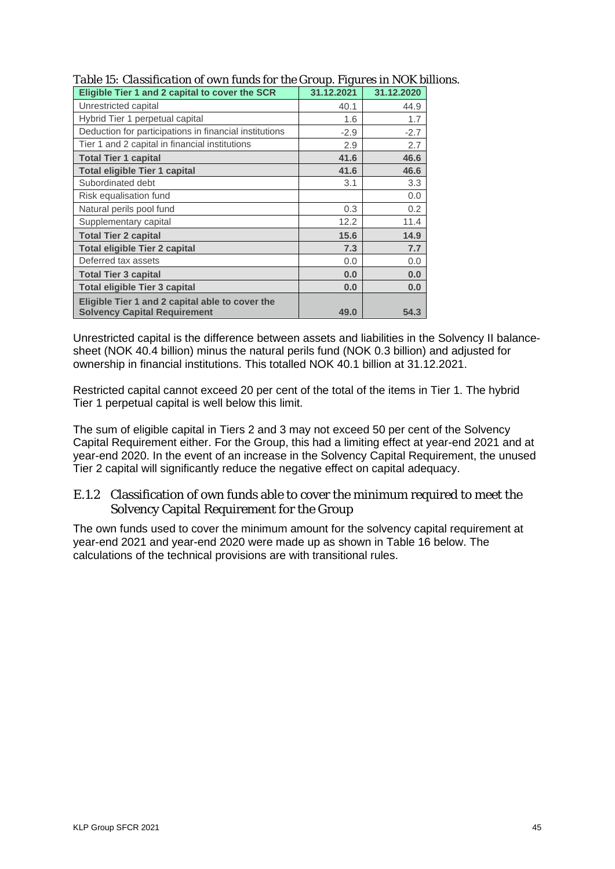| Eligible Tier 1 and 2 capital to cover the SCR                                         | 31.12.2021 | 31.12.2020 |
|----------------------------------------------------------------------------------------|------------|------------|
| Unrestricted capital                                                                   | 40.1       | 44.9       |
| Hybrid Tier 1 perpetual capital                                                        | 1.6        | 1.7        |
| Deduction for participations in financial institutions                                 | $-2.9$     | $-2.7$     |
| Tier 1 and 2 capital in financial institutions                                         | 2.9        | 2.7        |
| <b>Total Tier 1 capital</b>                                                            | 41.6       | 46.6       |
| <b>Total eligible Tier 1 capital</b>                                                   | 41.6       | 46.6       |
| Subordinated debt                                                                      | 3.1        | 3.3        |
| Risk equalisation fund                                                                 |            | 0.0        |
| Natural perils pool fund                                                               | 0.3        | 0.2        |
| Supplementary capital                                                                  | 12.2       | 11.4       |
| <b>Total Tier 2 capital</b>                                                            | 15.6       | 14.9       |
| <b>Total eligible Tier 2 capital</b>                                                   | 7.3        | 7.7        |
| Deferred tax assets                                                                    | 0.0        | 0.0        |
| <b>Total Tier 3 capital</b>                                                            | 0.0        | 0.0        |
| <b>Total eligible Tier 3 capital</b>                                                   | 0.0        | 0.0        |
| Eligible Tier 1 and 2 capital able to cover the<br><b>Solvency Capital Requirement</b> | 49.0       | 54.3       |

#### *Table 15: Classification of own funds for the Group. Figures in NOK billions.*

Unrestricted capital is the difference between assets and liabilities in the Solvency II balancesheet (NOK 40.4 billion) minus the natural perils fund (NOK 0.3 billion) and adjusted for ownership in financial institutions. This totalled NOK 40.1 billion at 31.12.2021.

Restricted capital cannot exceed 20 per cent of the total of the items in Tier 1. The hybrid Tier 1 perpetual capital is well below this limit.

The sum of eligible capital in Tiers 2 and 3 may not exceed 50 per cent of the Solvency Capital Requirement either. For the Group, this had a limiting effect at year-end 2021 and at year-end 2020. In the event of an increase in the Solvency Capital Requirement, the unused Tier 2 capital will significantly reduce the negative effect on capital adequacy.

#### E.1.2 Classification of own funds able to cover the minimum required to meet the Solvency Capital Requirement for the Group

The own funds used to cover the minimum amount for the solvency capital requirement at year-end 2021 and year-end 2020 were made up as shown in Table 16 below. The calculations of the technical provisions are with transitional rules.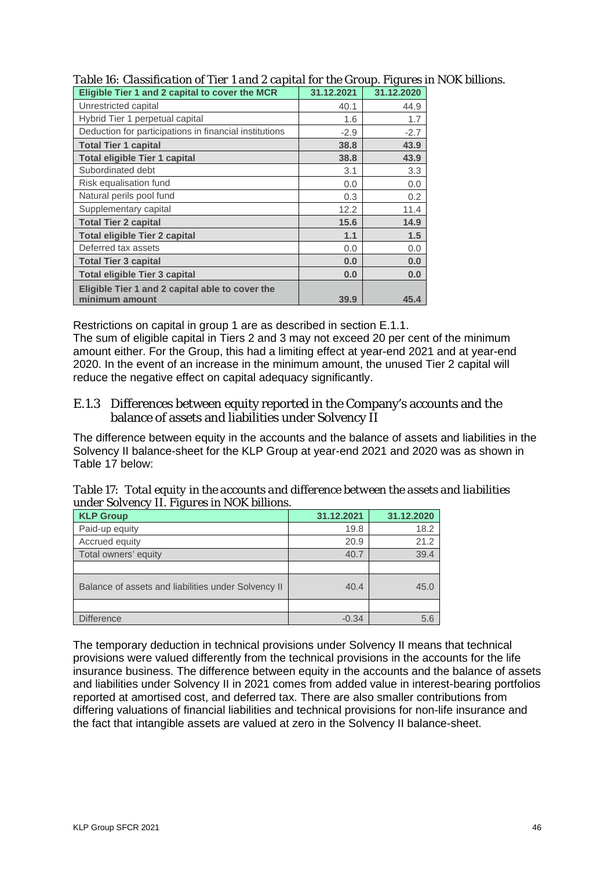| Eligible Tier 1 and 2 capital to cover the MCR         | 31.12.2021 | 31.12.2020 |
|--------------------------------------------------------|------------|------------|
| Unrestricted capital                                   | 40.1       | 44.9       |
| Hybrid Tier 1 perpetual capital                        | 1.6        | 1.7        |
| Deduction for participations in financial institutions | $-2.9$     | $-2.7$     |
| <b>Total Tier 1 capital</b>                            | 38.8       | 43.9       |
| <b>Total eligible Tier 1 capital</b>                   | 38.8       | 43.9       |
| Subordinated debt                                      | 3.1        | 3.3        |
| Risk equalisation fund                                 | 0.0        | 0.0        |
| Natural perils pool fund                               | 0.3        | 0.2        |
| Supplementary capital                                  | 12.2       | 11.4       |
| <b>Total Tier 2 capital</b>                            | 15.6       | 14.9       |
| <b>Total eligible Tier 2 capital</b>                   | 1.1        | 1.5        |
| Deferred tax assets                                    | 0.0        | 0.0        |
| <b>Total Tier 3 capital</b>                            | 0.0        | 0.0        |
| <b>Total eligible Tier 3 capital</b>                   | 0.0        | 0.0        |
| Eligible Tier 1 and 2 capital able to cover the        |            |            |
| minimum amount                                         | 39.9       | 45.4       |

#### *Table 16: Classification of Tier 1 and 2 capital for the Group. Figures in NOK billions.*

Restrictions on capital in group 1 are as described in section E.1.1.

The sum of eligible capital in Tiers 2 and 3 may not exceed 20 per cent of the minimum amount either. For the Group, this had a limiting effect at year-end 2021 and at year-end 2020. In the event of an increase in the minimum amount, the unused Tier 2 capital will reduce the negative effect on capital adequacy significantly.

#### E.1.3 Differences between equity reported in the Company's accounts and the balance of assets and liabilities under Solvency II

The difference between equity in the accounts and the balance of assets and liabilities in the Solvency II balance-sheet for the KLP Group at year-end 2021 and 2020 was as shown in Table 17 below:

| under Solvency II. Figures in NOK billions.         |            |            |
|-----------------------------------------------------|------------|------------|
| <b>KLP Group</b>                                    | 31.12.2021 | 31.12.2020 |
| Paid-up equity                                      | 19.8       | 18.2       |
| Accrued equity                                      | 20.9       | 21.2       |
| Total owners' equity                                | 40.7       | 39.4       |
|                                                     |            |            |
| Balance of assets and liabilities under Solvency II | 40.4       | 45.0       |

Difference  $-0.34$  5.6

*Table 17: Total equity in the accounts and difference between the assets and liabilities under Solvency II. Figures in NOK billions.* 

The temporary deduction in technical provisions under Solvency II means that technical provisions were valued differently from the technical provisions in the accounts for the life insurance business. The difference between equity in the accounts and the balance of assets and liabilities under Solvency II in 2021 comes from added value in interest-bearing portfolios reported at amortised cost, and deferred tax. There are also smaller contributions from differing valuations of financial liabilities and technical provisions for non-life insurance and the fact that intangible assets are valued at zero in the Solvency II balance-sheet.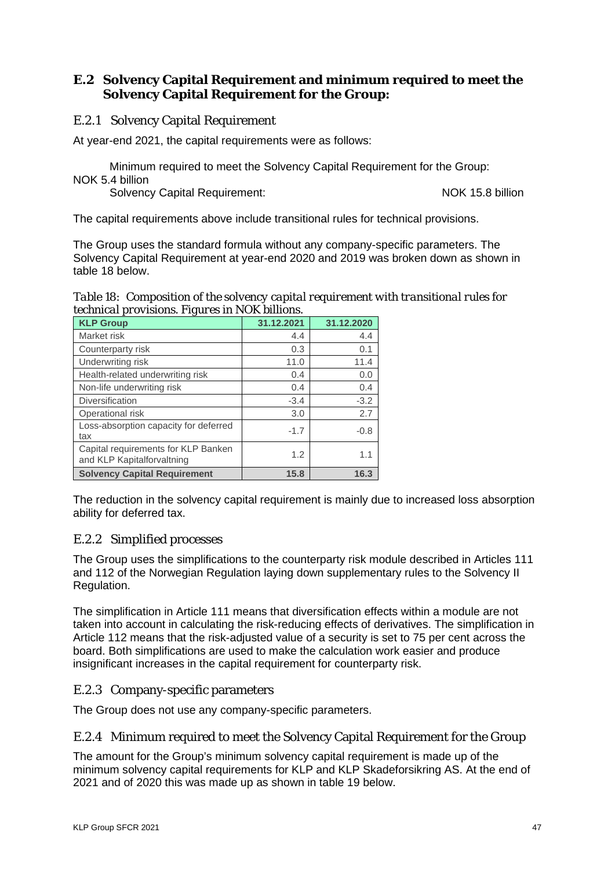#### <span id="page-46-0"></span>**E.2 Solvency Capital Requirement and minimum required to meet the Solvency Capital Requirement for the Group:**

#### E.2.1 Solvency Capital Requirement

At year-end 2021, the capital requirements were as follows:

Minimum required to meet the Solvency Capital Requirement for the Group: NOK 5.4 billion

Solvency Capital Requirement: NOK 15.8 billion

The capital requirements above include transitional rules for technical provisions.

The Group uses the standard formula without any company-specific parameters. The Solvency Capital Requirement at year-end 2020 and 2019 was broken down as shown in table 18 below.

*Table 18: Composition of the solvency capital requirement with transitional rules for technical provisions. Figures in NOK billions.* 

| $\sim$<br><b>KLP Group</b>                                        | 31.12.2021 | 31.12.2020 |
|-------------------------------------------------------------------|------------|------------|
| Market risk                                                       | 4.4        | 4.4        |
| Counterparty risk                                                 | 0.3        | 0.1        |
| Underwriting risk                                                 | 11.0       | 11.4       |
| Health-related underwriting risk                                  | 0.4        | 0.0        |
| Non-life underwriting risk                                        | 0.4        | 0.4        |
| Diversification                                                   | $-3.4$     | $-3.2$     |
| Operational risk                                                  | 3.0        | 2.7        |
| Loss-absorption capacity for deferred<br>tax                      | $-1.7$     | $-0.8$     |
| Capital requirements for KLP Banken<br>and KLP Kapitalforvaltning | 1.2        | 1.1        |
| <b>Solvency Capital Requirement</b>                               | 15.8       | 16.3       |

The reduction in the solvency capital requirement is mainly due to increased loss absorption ability for deferred tax.

#### E.2.2 Simplified processes

The Group uses the simplifications to the counterparty risk module described in Articles 111 and 112 of the Norwegian Regulation laying down supplementary rules to the Solvency II Regulation.

The simplification in Article 111 means that diversification effects within a module are not taken into account in calculating the risk-reducing effects of derivatives. The simplification in Article 112 means that the risk-adjusted value of a security is set to 75 per cent across the board. Both simplifications are used to make the calculation work easier and produce insignificant increases in the capital requirement for counterparty risk.

#### E.2.3 Company-specific parameters

The Group does not use any company-specific parameters.

#### E.2.4 Minimum required to meet the Solvency Capital Requirement for the Group

The amount for the Group's minimum solvency capital requirement is made up of the minimum solvency capital requirements for KLP and KLP Skadeforsikring AS. At the end of 2021 and of 2020 this was made up as shown in table 19 below.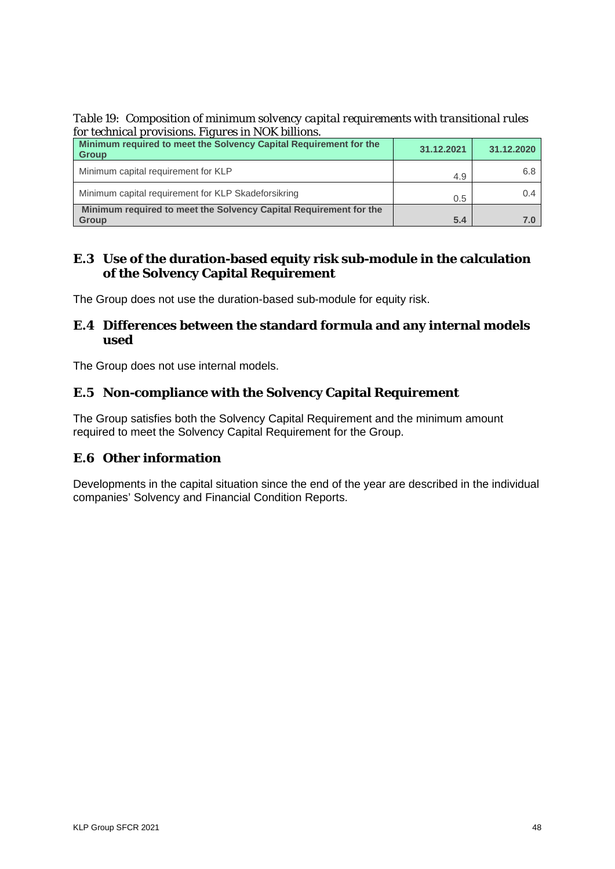*Table 19: Composition of minimum solvency capital requirements with transitional rules for technical provisions. Figures in NOK billions.*

| Minimum required to meet the Solvency Capital Requirement for the<br><b>Group</b> | 31.12.2021 | 31.12.2020 |
|-----------------------------------------------------------------------------------|------------|------------|
| Minimum capital requirement for KLP                                               | 4.9        | 6.8        |
| Minimum capital requirement for KLP Skadeforsikring                               | 0.5        | 0.4        |
| Minimum required to meet the Solvency Capital Requirement for the<br><b>Group</b> | 5.4        | 7.0        |

#### <span id="page-47-0"></span>**E.3 Use of the duration-based equity risk sub-module in the calculation of the Solvency Capital Requirement**

The Group does not use the duration-based sub-module for equity risk.

#### <span id="page-47-1"></span>**E.4 Differences between the standard formula and any internal models used**

The Group does not use internal models.

# <span id="page-47-2"></span>**E.5 Non-compliance with the Solvency Capital Requirement**

The Group satisfies both the Solvency Capital Requirement and the minimum amount required to meet the Solvency Capital Requirement for the Group.

# <span id="page-47-3"></span>**E.6 Other information**

Developments in the capital situation since the end of the year are described in the individual companies' Solvency and Financial Condition Reports.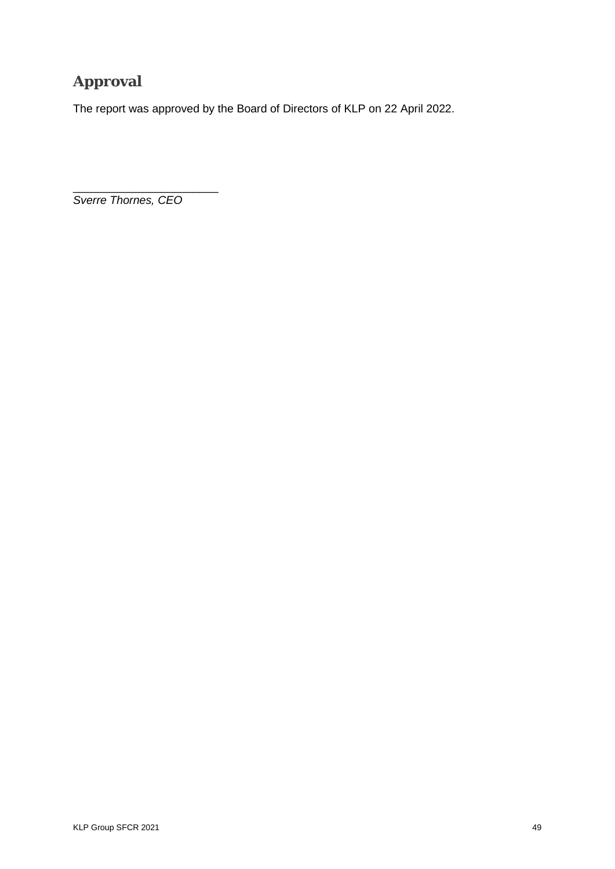# <span id="page-48-0"></span>**Approval**

The report was approved by the Board of Directors of KLP on 22 April 2022.

\_\_\_\_\_\_\_\_\_\_\_\_\_\_\_\_\_\_\_\_\_\_\_ *Sverre Thornes, CEO*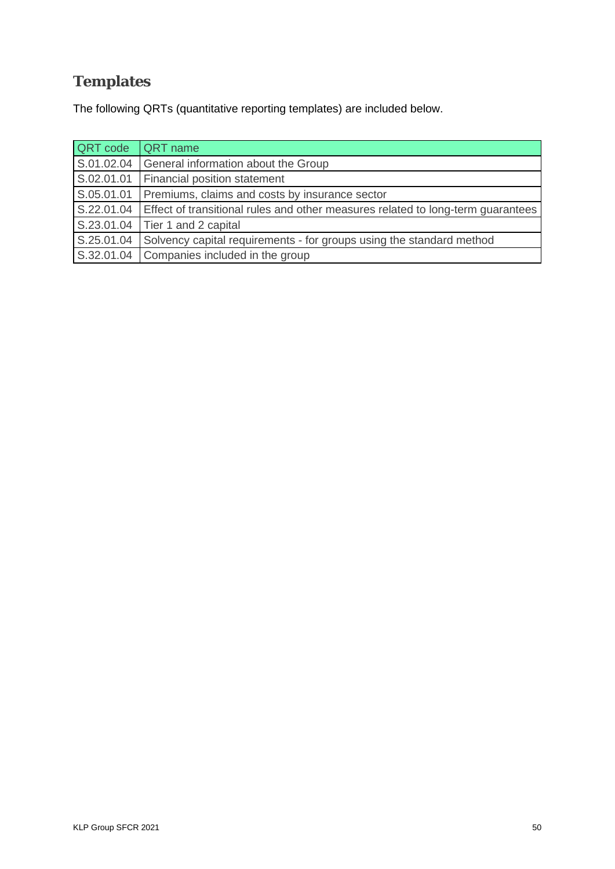# <span id="page-49-0"></span>**Templates**

The following QRTs (quantitative reporting templates) are included below.

| <b>QRT</b> code | <b>QRT</b> name                                                                 |
|-----------------|---------------------------------------------------------------------------------|
| S.01.02.04      | General information about the Group                                             |
| S.02.01.01      | Financial position statement                                                    |
| S.05.01.01      | Premiums, claims and costs by insurance sector                                  |
| S.22.01.04      | Effect of transitional rules and other measures related to long-term quarantees |
| S.23.01.04      | Tier 1 and 2 capital                                                            |
| S.25.01.04      | Solvency capital requirements - for groups using the standard method            |
| S.32.01.04      | Companies included in the group                                                 |